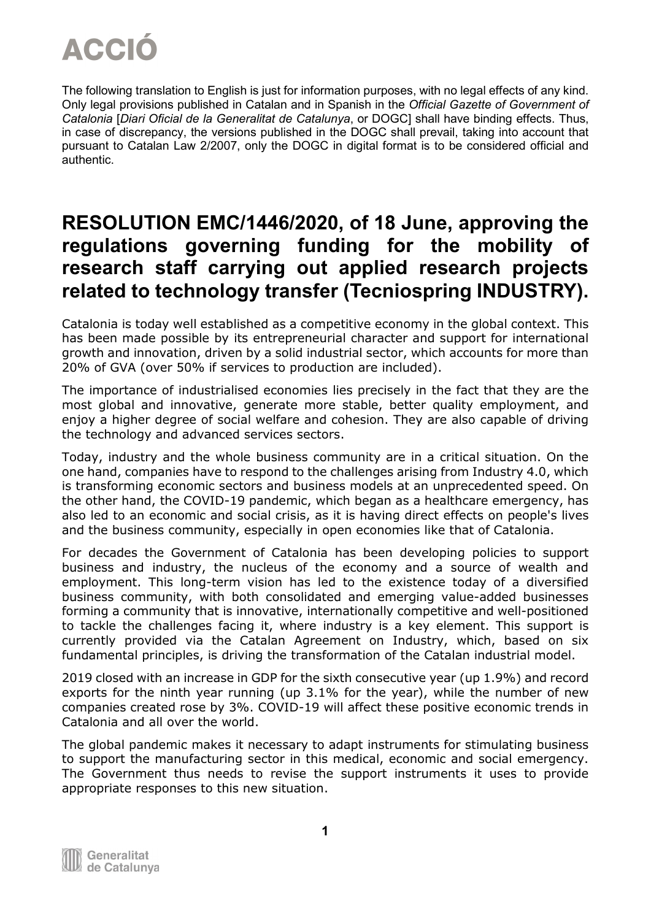The following translation to English is just for information purposes, with no legal effects of any kind. Only legal provisions published in Catalan and in Spanish in the *Official Gazette of Government of Catalonia* [*Diari Oficial de la Generalitat de Catalunya*, or DOGC] shall have binding effects. Thus, in case of discrepancy, the versions published in the DOGC shall prevail, taking into account that pursuant to Catalan Law 2/2007, only the DOGC in digital format is to be considered official and authentic.

#### **RESOLUTION EMC/1446/2020, of 18 June, approving the regulations governing funding for the mobility of research staff carrying out applied research projects related to technology transfer (Tecniospring INDUSTRY).**

Catalonia is today well established as a competitive economy in the global context. This has been made possible by its entrepreneurial character and support for international growth and innovation, driven by a solid industrial sector, which accounts for more than 20% of GVA (over 50% if services to production are included).

The importance of industrialised economies lies precisely in the fact that they are the most global and innovative, generate more stable, better quality employment, and enjoy a higher degree of social welfare and cohesion. They are also capable of driving the technology and advanced services sectors.

Today, industry and the whole business community are in a critical situation. On the one hand, companies have to respond to the challenges arising from Industry 4.0, which is transforming economic sectors and business models at an unprecedented speed. On the other hand, the COVID-19 pandemic, which began as a healthcare emergency, has also led to an economic and social crisis, as it is having direct effects on people's lives and the business community, especially in open economies like that of Catalonia.

For decades the Government of Catalonia has been developing policies to support business and industry, the nucleus of the economy and a source of wealth and employment. This long-term vision has led to the existence today of a diversified business community, with both consolidated and emerging value-added businesses forming a community that is innovative, internationally competitive and well-positioned to tackle the challenges facing it, where industry is a key element. This support is currently provided via the Catalan Agreement on Industry, which, based on six fundamental principles, is driving the transformation of the Catalan industrial model.

2019 closed with an increase in GDP for the sixth consecutive year (up 1.9%) and record exports for the ninth year running (up 3.1% for the year), while the number of new companies created rose by 3%. COVID-19 will affect these positive economic trends in Catalonia and all over the world.

The global pandemic makes it necessary to adapt instruments for stimulating business to support the manufacturing sector in this medical, economic and social emergency. The Government thus needs to revise the support instruments it uses to provide appropriate responses to this new situation.

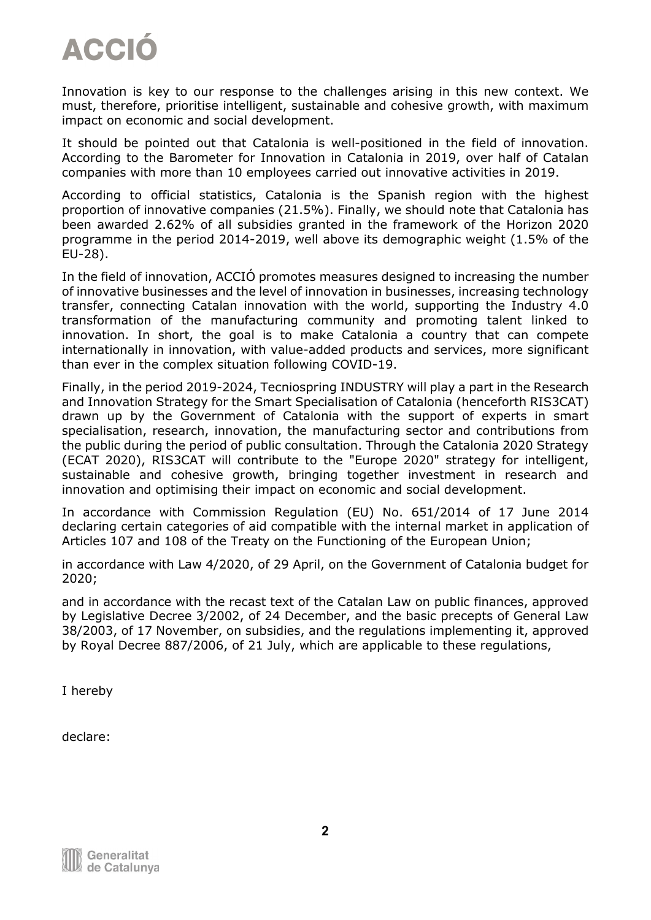Innovation is key to our response to the challenges arising in this new context. We must, therefore, prioritise intelligent, sustainable and cohesive growth, with maximum impact on economic and social development.

It should be pointed out that Catalonia is well-positioned in the field of innovation. According to the Barometer for Innovation in Catalonia in 2019, over half of Catalan companies with more than 10 employees carried out innovative activities in 2019.

According to official statistics, Catalonia is the Spanish region with the highest proportion of innovative companies (21.5%). Finally, we should note that Catalonia has been awarded 2.62% of all subsidies granted in the framework of the Horizon 2020 programme in the period 2014-2019, well above its demographic weight (1.5% of the EU-28).

In the field of innovation, ACCIÓ promotes measures designed to increasing the number of innovative businesses and the level of innovation in businesses, increasing technology transfer, connecting Catalan innovation with the world, supporting the Industry 4.0 transformation of the manufacturing community and promoting talent linked to innovation. In short, the goal is to make Catalonia a country that can compete internationally in innovation, with value-added products and services, more significant than ever in the complex situation following COVID-19.

Finally, in the period 2019-2024, Tecniospring INDUSTRY will play a part in the Research and Innovation Strategy for the Smart Specialisation of Catalonia (henceforth RIS3CAT) drawn up by the Government of Catalonia with the support of experts in smart specialisation, research, innovation, the manufacturing sector and contributions from the public during the period of public consultation. Through the Catalonia 2020 Strategy (ECAT 2020), RIS3CAT will contribute to the "Europe 2020" strategy for intelligent, sustainable and cohesive growth, bringing together investment in research and innovation and optimising their impact on economic and social development.

In accordance with Commission Regulation (EU) No. 651/2014 of 17 June 2014 declaring certain categories of aid compatible with the internal market in application of Articles 107 and 108 of the Treaty on the Functioning of the European Union;

in accordance with Law 4/2020, of 29 April, on the Government of Catalonia budget for 2020;

and in accordance with the recast text of the Catalan Law on public finances, approved by Legislative Decree 3/2002, of 24 December, and the basic precepts of General Law 38/2003, of 17 November, on subsidies, and the regulations implementing it, approved by Royal Decree 887/2006, of 21 July, which are applicable to these regulations,

I hereby

declare: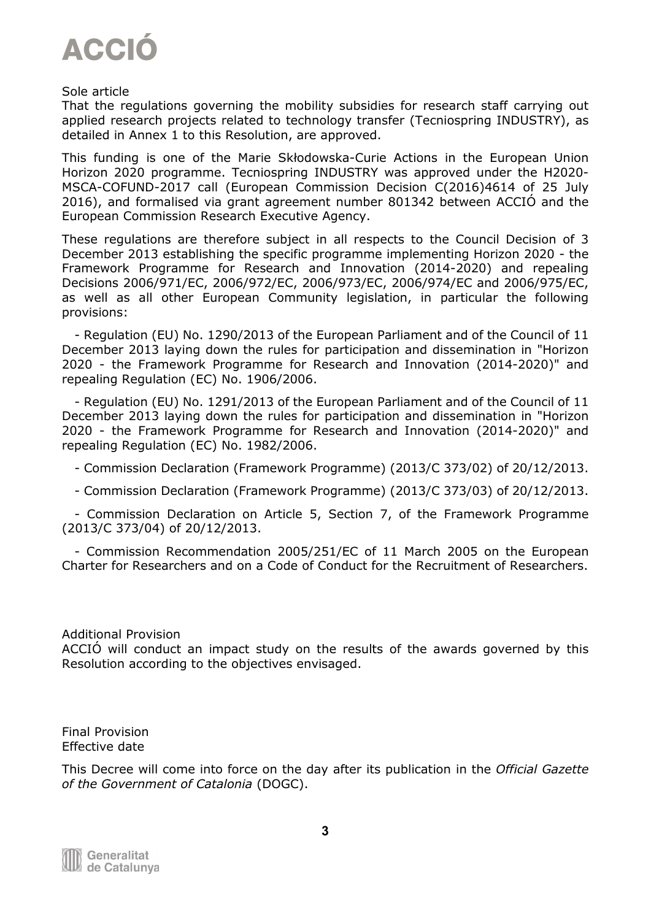

#### Sole article

That the regulations governing the mobility subsidies for research staff carrying out applied research projects related to technology transfer (Tecniospring INDUSTRY), as detailed in Annex 1 to this Resolution, are approved.

This funding is one of the Marie Skłodowska-Curie Actions in the European Union Horizon 2020 programme. Tecniospring INDUSTRY was approved under the H2020- MSCA-COFUND-2017 call (European Commission Decision C(2016)4614 of 25 July 2016), and formalised via grant agreement number 801342 between ACCIÓ and the European Commission Research Executive Agency.

These regulations are therefore subject in all respects to the Council Decision of 3 December 2013 establishing the specific programme implementing Horizon 2020 - the Framework Programme for Research and Innovation (2014-2020) and repealing Decisions 2006/971/EC, 2006/972/EC, 2006/973/EC, 2006/974/EC and 2006/975/EC, as well as all other European Community legislation, in particular the following provisions:

 - Regulation (EU) No. 1290/2013 of the European Parliament and of the Council of 11 December 2013 laying down the rules for participation and dissemination in "Horizon 2020 - the Framework Programme for Research and Innovation (2014-2020)" and repealing Regulation (EC) No. 1906/2006.

 - Regulation (EU) No. 1291/2013 of the European Parliament and of the Council of 11 December 2013 laying down the rules for participation and dissemination in "Horizon 2020 - the Framework Programme for Research and Innovation (2014-2020)" and repealing Regulation (EC) No. 1982/2006.

- Commission Declaration (Framework Programme) (2013/C 373/02) of 20/12/2013.

- Commission Declaration (Framework Programme) (2013/C 373/03) of 20/12/2013.

 - Commission Declaration on Article 5, Section 7, of the Framework Programme (2013/C 373/04) of 20/12/2013.

 - Commission Recommendation 2005/251/EC of 11 March 2005 on the European Charter for Researchers and on a Code of Conduct for the Recruitment of Researchers.

#### Additional Provision

ACCIÓ will conduct an impact study on the results of the awards governed by this Resolution according to the objectives envisaged.

Final Provision Effective date

This Decree will come into force on the day after its publication in the *Official Gazette of the Government of Catalonia* (DOGC).

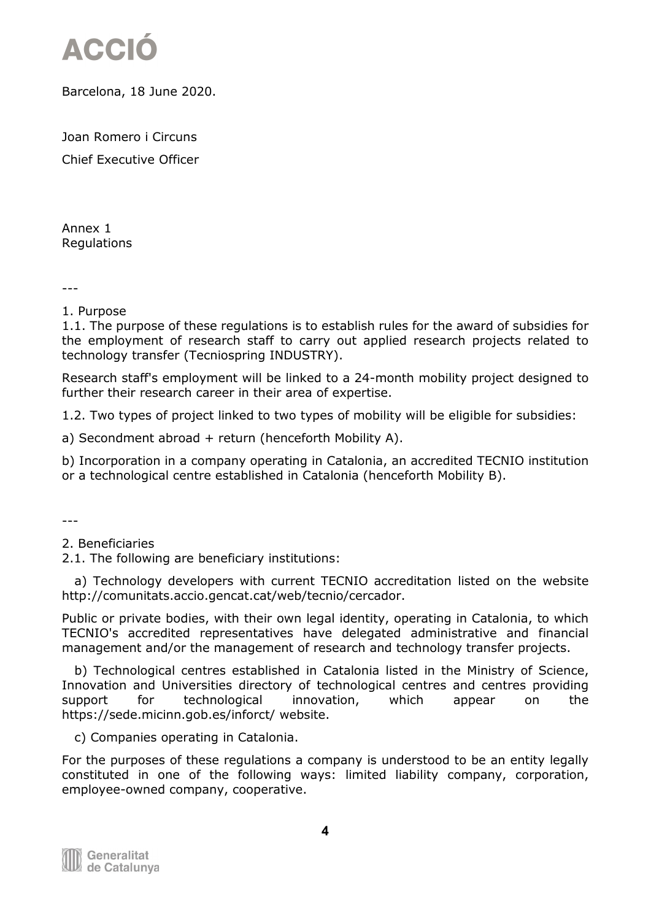

Barcelona, 18 June 2020.

Joan Romero i Circuns Chief Executive Officer

Annex 1 Regulations

---

1. Purpose

1.1. The purpose of these regulations is to establish rules for the award of subsidies for the employment of research staff to carry out applied research projects related to technology transfer (Tecniospring INDUSTRY).

Research staff's employment will be linked to a 24-month mobility project designed to further their research career in their area of expertise.

1.2. Two types of project linked to two types of mobility will be eligible for subsidies:

a) Secondment abroad  $+$  return (henceforth Mobility A).

b) Incorporation in a company operating in Catalonia, an accredited TECNIO institution or a technological centre established in Catalonia (henceforth Mobility B).

---

2. Beneficiaries

2.1. The following are beneficiary institutions:

 a) Technology developers with current TECNIO accreditation listed on the website http://comunitats.accio.gencat.cat/web/tecnio/cercador.

Public or private bodies, with their own legal identity, operating in Catalonia, to which TECNIO's accredited representatives have delegated administrative and financial management and/or the management of research and technology transfer projects.

 b) Technological centres established in Catalonia listed in the Ministry of Science, Innovation and Universities directory of technological centres and centres providing support for technological innovation, which appear on the https://sede.micinn.gob.es/inforct/ website.

c) Companies operating in Catalonia.

For the purposes of these regulations a company is understood to be an entity legally constituted in one of the following ways: limited liability company, corporation, employee-owned company, cooperative.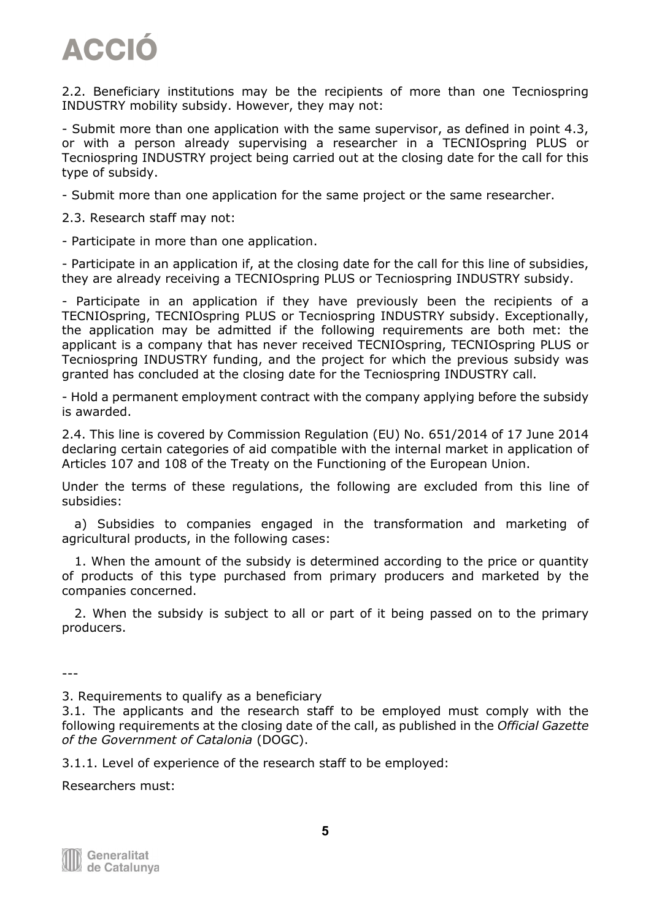2.2. Beneficiary institutions may be the recipients of more than one Tecniospring INDUSTRY mobility subsidy. However, they may not:

- Submit more than one application with the same supervisor, as defined in point 4.3, or with a person already supervising a researcher in a TECNIOspring PLUS or Tecniospring INDUSTRY project being carried out at the closing date for the call for this type of subsidy.

- Submit more than one application for the same project or the same researcher.

2.3. Research staff may not:

- Participate in more than one application.

- Participate in an application if, at the closing date for the call for this line of subsidies, they are already receiving a TECNIOspring PLUS or Tecniospring INDUSTRY subsidy.

- Participate in an application if they have previously been the recipients of a TECNIOspring, TECNIOspring PLUS or Tecniospring INDUSTRY subsidy. Exceptionally, the application may be admitted if the following requirements are both met: the applicant is a company that has never received TECNIOspring, TECNIOspring PLUS or Tecniospring INDUSTRY funding, and the project for which the previous subsidy was granted has concluded at the closing date for the Tecniospring INDUSTRY call.

- Hold a permanent employment contract with the company applying before the subsidy is awarded.

2.4. This line is covered by Commission Regulation (EU) No. 651/2014 of 17 June 2014 declaring certain categories of aid compatible with the internal market in application of Articles 107 and 108 of the Treaty on the Functioning of the European Union.

Under the terms of these regulations, the following are excluded from this line of subsidies:

 a) Subsidies to companies engaged in the transformation and marketing of agricultural products, in the following cases:

 1. When the amount of the subsidy is determined according to the price or quantity of products of this type purchased from primary producers and marketed by the companies concerned.

 2. When the subsidy is subject to all or part of it being passed on to the primary producers.

---

3. Requirements to qualify as a beneficiary

3.1. The applicants and the research staff to be employed must comply with the following requirements at the closing date of the call, as published in the *Official Gazette of the Government of Catalonia* (DOGC).

3.1.1. Level of experience of the research staff to be employed:

Researchers must: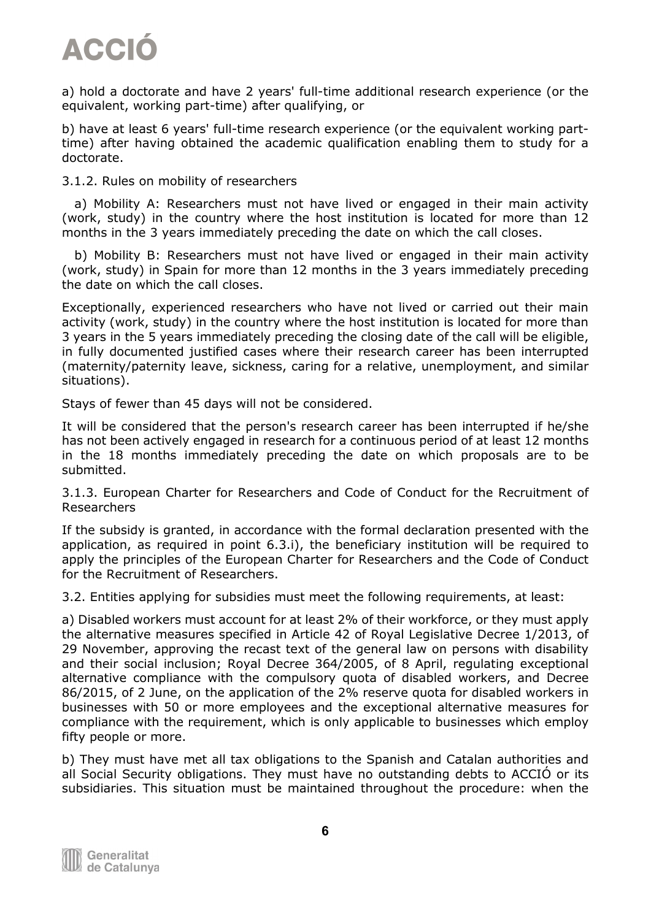

a) hold a doctorate and have 2 years' full-time additional research experience (or the equivalent, working part-time) after qualifying, or

b) have at least 6 years' full-time research experience (or the equivalent working parttime) after having obtained the academic qualification enabling them to study for a doctorate.

3.1.2. Rules on mobility of researchers

 a) Mobility A: Researchers must not have lived or engaged in their main activity (work, study) in the country where the host institution is located for more than 12 months in the 3 years immediately preceding the date on which the call closes.

 b) Mobility B: Researchers must not have lived or engaged in their main activity (work, study) in Spain for more than 12 months in the 3 years immediately preceding the date on which the call closes.

Exceptionally, experienced researchers who have not lived or carried out their main activity (work, study) in the country where the host institution is located for more than 3 years in the 5 years immediately preceding the closing date of the call will be eligible, in fully documented justified cases where their research career has been interrupted (maternity/paternity leave, sickness, caring for a relative, unemployment, and similar situations).

Stays of fewer than 45 days will not be considered.

It will be considered that the person's research career has been interrupted if he/she has not been actively engaged in research for a continuous period of at least 12 months in the 18 months immediately preceding the date on which proposals are to be submitted.

3.1.3. European Charter for Researchers and Code of Conduct for the Recruitment of Researchers

If the subsidy is granted, in accordance with the formal declaration presented with the application, as required in point 6.3.i), the beneficiary institution will be required to apply the principles of the European Charter for Researchers and the Code of Conduct for the Recruitment of Researchers.

3.2. Entities applying for subsidies must meet the following requirements, at least:

a) Disabled workers must account for at least 2% of their workforce, or they must apply the alternative measures specified in Article 42 of Royal Legislative Decree 1/2013, of 29 November, approving the recast text of the general law on persons with disability and their social inclusion; Royal Decree 364/2005, of 8 April, regulating exceptional alternative compliance with the compulsory quota of disabled workers, and Decree 86/2015, of 2 June, on the application of the 2% reserve quota for disabled workers in businesses with 50 or more employees and the exceptional alternative measures for compliance with the requirement, which is only applicable to businesses which employ fifty people or more.

b) They must have met all tax obligations to the Spanish and Catalan authorities and all Social Security obligations. They must have no outstanding debts to ACCIÓ or its subsidiaries. This situation must be maintained throughout the procedure: when the

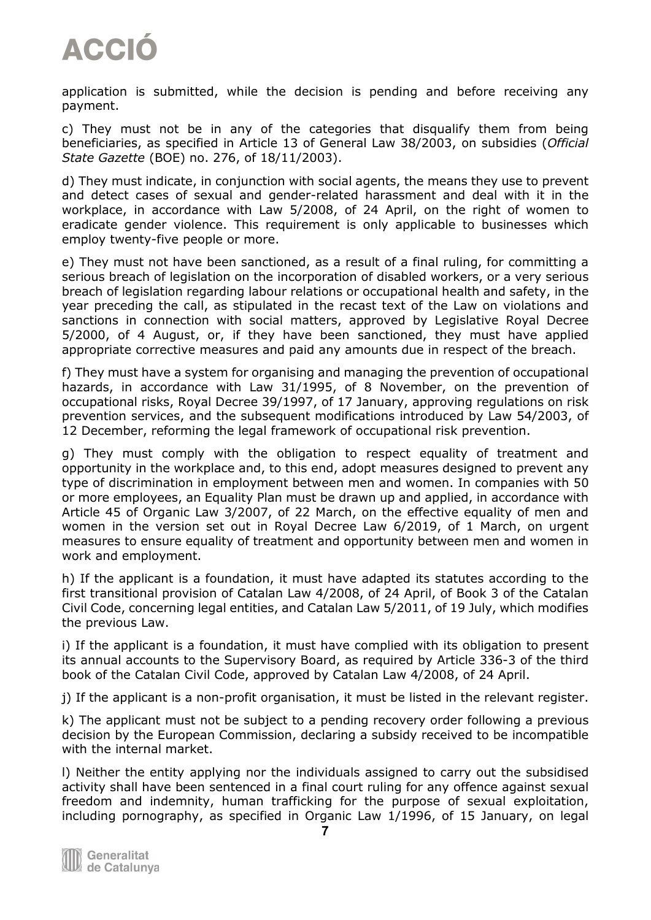application is submitted, while the decision is pending and before receiving any payment.

c) They must not be in any of the categories that disqualify them from being beneficiaries, as specified in Article 13 of General Law 38/2003, on subsidies (*Official State Gazette* (BOE) no. 276, of 18/11/2003).

d) They must indicate, in conjunction with social agents, the means they use to prevent and detect cases of sexual and gender-related harassment and deal with it in the workplace, in accordance with Law 5/2008, of 24 April, on the right of women to eradicate gender violence. This requirement is only applicable to businesses which employ twenty-five people or more.

e) They must not have been sanctioned, as a result of a final ruling, for committing a serious breach of legislation on the incorporation of disabled workers, or a very serious breach of legislation regarding labour relations or occupational health and safety, in the year preceding the call, as stipulated in the recast text of the Law on violations and sanctions in connection with social matters, approved by Legislative Royal Decree 5/2000, of 4 August, or, if they have been sanctioned, they must have applied appropriate corrective measures and paid any amounts due in respect of the breach.

f) They must have a system for organising and managing the prevention of occupational hazards, in accordance with Law 31/1995, of 8 November, on the prevention of occupational risks, Royal Decree 39/1997, of 17 January, approving regulations on risk prevention services, and the subsequent modifications introduced by Law 54/2003, of 12 December, reforming the legal framework of occupational risk prevention.

g) They must comply with the obligation to respect equality of treatment and opportunity in the workplace and, to this end, adopt measures designed to prevent any type of discrimination in employment between men and women. In companies with 50 or more employees, an Equality Plan must be drawn up and applied, in accordance with Article 45 of Organic Law 3/2007, of 22 March, on the effective equality of men and women in the version set out in Royal Decree Law 6/2019, of 1 March, on urgent measures to ensure equality of treatment and opportunity between men and women in work and employment.

h) If the applicant is a foundation, it must have adapted its statutes according to the first transitional provision of Catalan Law 4/2008, of 24 April, of Book 3 of the Catalan Civil Code, concerning legal entities, and Catalan Law 5/2011, of 19 July, which modifies the previous Law.

i) If the applicant is a foundation, it must have complied with its obligation to present its annual accounts to the Supervisory Board, as required by Article 336-3 of the third book of the Catalan Civil Code, approved by Catalan Law 4/2008, of 24 April.

j) If the applicant is a non-profit organisation, it must be listed in the relevant register.

k) The applicant must not be subject to a pending recovery order following a previous decision by the European Commission, declaring a subsidy received to be incompatible with the internal market.

l) Neither the entity applying nor the individuals assigned to carry out the subsidised activity shall have been sentenced in a final court ruling for any offence against sexual freedom and indemnity, human trafficking for the purpose of sexual exploitation, including pornography, as specified in Organic Law 1/1996, of 15 January, on legal

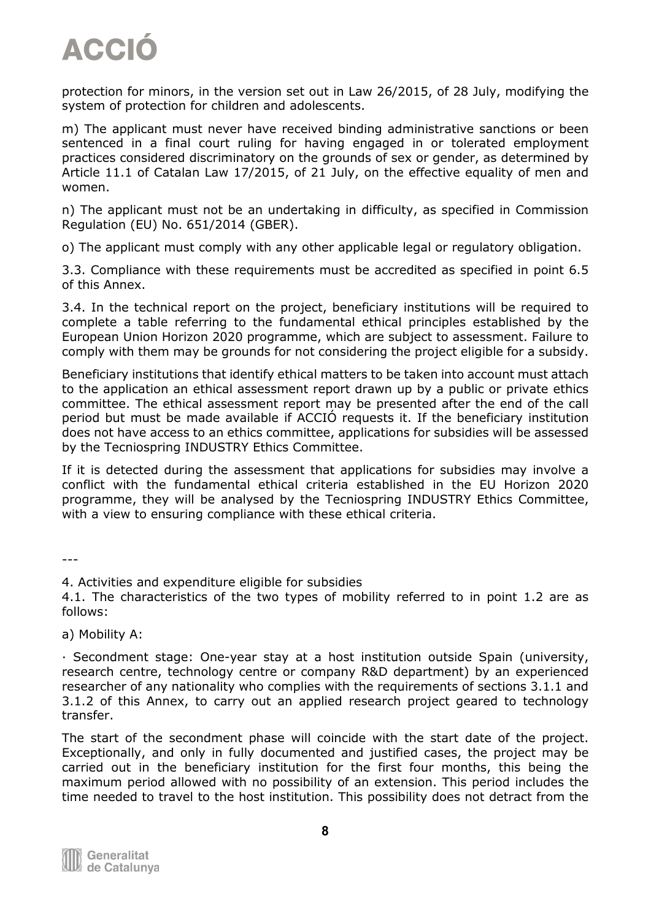protection for minors, in the version set out in Law 26/2015, of 28 July, modifying the system of protection for children and adolescents.

m) The applicant must never have received binding administrative sanctions or been sentenced in a final court ruling for having engaged in or tolerated employment practices considered discriminatory on the grounds of sex or gender, as determined by Article 11.1 of Catalan Law 17/2015, of 21 July, on the effective equality of men and women.

n) The applicant must not be an undertaking in difficulty, as specified in Commission Regulation (EU) No. 651/2014 (GBER).

o) The applicant must comply with any other applicable legal or regulatory obligation.

3.3. Compliance with these requirements must be accredited as specified in point 6.5 of this Annex.

3.4. In the technical report on the project, beneficiary institutions will be required to complete a table referring to the fundamental ethical principles established by the European Union Horizon 2020 programme, which are subject to assessment. Failure to comply with them may be grounds for not considering the project eligible for a subsidy.

Beneficiary institutions that identify ethical matters to be taken into account must attach to the application an ethical assessment report drawn up by a public or private ethics committee. The ethical assessment report may be presented after the end of the call period but must be made available if ACCIÓ requests it. If the beneficiary institution does not have access to an ethics committee, applications for subsidies will be assessed by the Tecniospring INDUSTRY Ethics Committee.

If it is detected during the assessment that applications for subsidies may involve a conflict with the fundamental ethical criteria established in the EU Horizon 2020 programme, they will be analysed by the Tecniospring INDUSTRY Ethics Committee, with a view to ensuring compliance with these ethical criteria.

---

4. Activities and expenditure eligible for subsidies

4.1. The characteristics of the two types of mobility referred to in point 1.2 are as follows:

a) Mobility A:

· Secondment stage: One-year stay at a host institution outside Spain (university, research centre, technology centre or company R&D department) by an experienced researcher of any nationality who complies with the requirements of sections 3.1.1 and 3.1.2 of this Annex, to carry out an applied research project geared to technology transfer.

The start of the secondment phase will coincide with the start date of the project. Exceptionally, and only in fully documented and justified cases, the project may be carried out in the beneficiary institution for the first four months, this being the maximum period allowed with no possibility of an extension. This period includes the time needed to travel to the host institution. This possibility does not detract from the

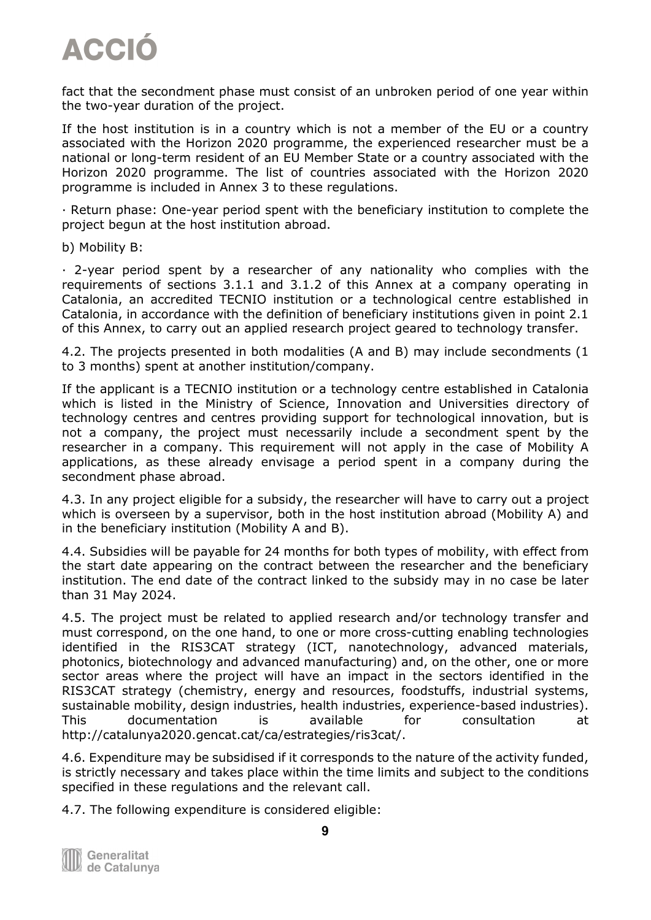fact that the secondment phase must consist of an unbroken period of one year within the two-year duration of the project.

If the host institution is in a country which is not a member of the EU or a country associated with the Horizon 2020 programme, the experienced researcher must be a national or long-term resident of an EU Member State or a country associated with the Horizon 2020 programme. The list of countries associated with the Horizon 2020 programme is included in Annex 3 to these regulations.

· Return phase: One-year period spent with the beneficiary institution to complete the project begun at the host institution abroad.

b) Mobility B:

· 2-year period spent by a researcher of any nationality who complies with the requirements of sections 3.1.1 and 3.1.2 of this Annex at a company operating in Catalonia, an accredited TECNIO institution or a technological centre established in Catalonia, in accordance with the definition of beneficiary institutions given in point 2.1 of this Annex, to carry out an applied research project geared to technology transfer.

4.2. The projects presented in both modalities (A and B) may include secondments (1 to 3 months) spent at another institution/company.

If the applicant is a TECNIO institution or a technology centre established in Catalonia which is listed in the Ministry of Science, Innovation and Universities directory of technology centres and centres providing support for technological innovation, but is not a company, the project must necessarily include a secondment spent by the researcher in a company. This requirement will not apply in the case of Mobility A applications, as these already envisage a period spent in a company during the secondment phase abroad.

4.3. In any project eligible for a subsidy, the researcher will have to carry out a project which is overseen by a supervisor, both in the host institution abroad (Mobility A) and in the beneficiary institution (Mobility A and B).

4.4. Subsidies will be payable for 24 months for both types of mobility, with effect from the start date appearing on the contract between the researcher and the beneficiary institution. The end date of the contract linked to the subsidy may in no case be later than 31 May 2024.

4.5. The project must be related to applied research and/or technology transfer and must correspond, on the one hand, to one or more cross-cutting enabling technologies identified in the RIS3CAT strategy (ICT, nanotechnology, advanced materials, photonics, biotechnology and advanced manufacturing) and, on the other, one or more sector areas where the project will have an impact in the sectors identified in the RIS3CAT strategy (chemistry, energy and resources, foodstuffs, industrial systems, sustainable mobility, design industries, health industries, experience-based industries). This documentation is available for consultation at http://catalunya2020.gencat.cat/ca/estrategies/ris3cat/.

4.6. Expenditure may be subsidised if it corresponds to the nature of the activity funded, is strictly necessary and takes place within the time limits and subject to the conditions specified in these regulations and the relevant call.

4.7. The following expenditure is considered eligible:

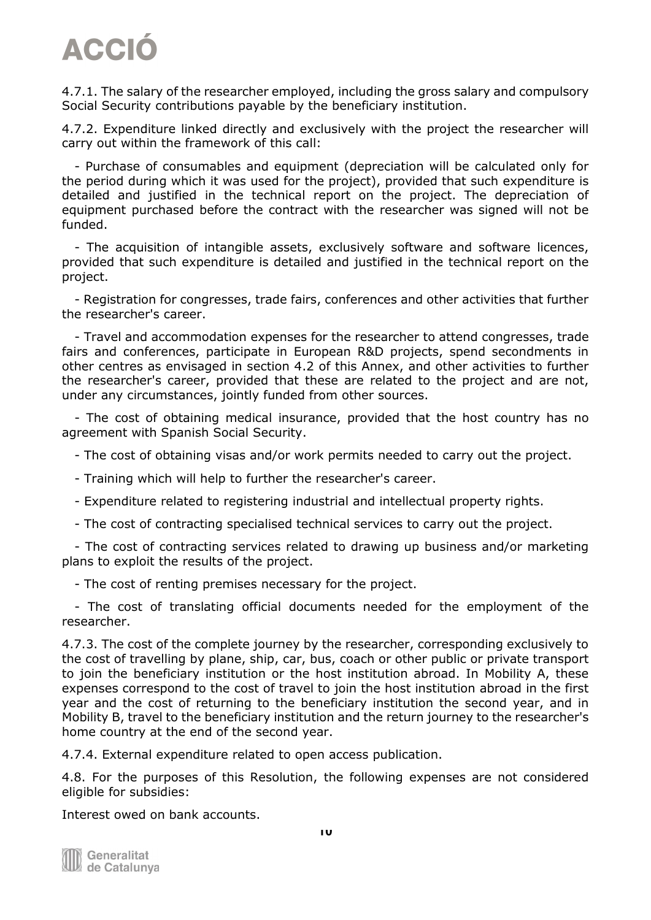4.7.1. The salary of the researcher employed, including the gross salary and compulsory Social Security contributions payable by the beneficiary institution.

4.7.2. Expenditure linked directly and exclusively with the project the researcher will carry out within the framework of this call:

 - Purchase of consumables and equipment (depreciation will be calculated only for the period during which it was used for the project), provided that such expenditure is detailed and justified in the technical report on the project. The depreciation of equipment purchased before the contract with the researcher was signed will not be funded.

 - The acquisition of intangible assets, exclusively software and software licences, provided that such expenditure is detailed and justified in the technical report on the project.

 - Registration for congresses, trade fairs, conferences and other activities that further the researcher's career.

 - Travel and accommodation expenses for the researcher to attend congresses, trade fairs and conferences, participate in European R&D projects, spend secondments in other centres as envisaged in section 4.2 of this Annex, and other activities to further the researcher's career, provided that these are related to the project and are not, under any circumstances, jointly funded from other sources.

 - The cost of obtaining medical insurance, provided that the host country has no agreement with Spanish Social Security.

- The cost of obtaining visas and/or work permits needed to carry out the project.

- Training which will help to further the researcher's career.
- Expenditure related to registering industrial and intellectual property rights.
- The cost of contracting specialised technical services to carry out the project.

 - The cost of contracting services related to drawing up business and/or marketing plans to exploit the results of the project.

- The cost of renting premises necessary for the project.

 - The cost of translating official documents needed for the employment of the researcher.

4.7.3. The cost of the complete journey by the researcher, corresponding exclusively to the cost of travelling by plane, ship, car, bus, coach or other public or private transport to join the beneficiary institution or the host institution abroad. In Mobility A, these expenses correspond to the cost of travel to join the host institution abroad in the first year and the cost of returning to the beneficiary institution the second year, and in Mobility B, travel to the beneficiary institution and the return journey to the researcher's home country at the end of the second year.

4.7.4. External expenditure related to open access publication.

4.8. For the purposes of this Resolution, the following expenses are not considered eligible for subsidies:

Interest owed on bank accounts.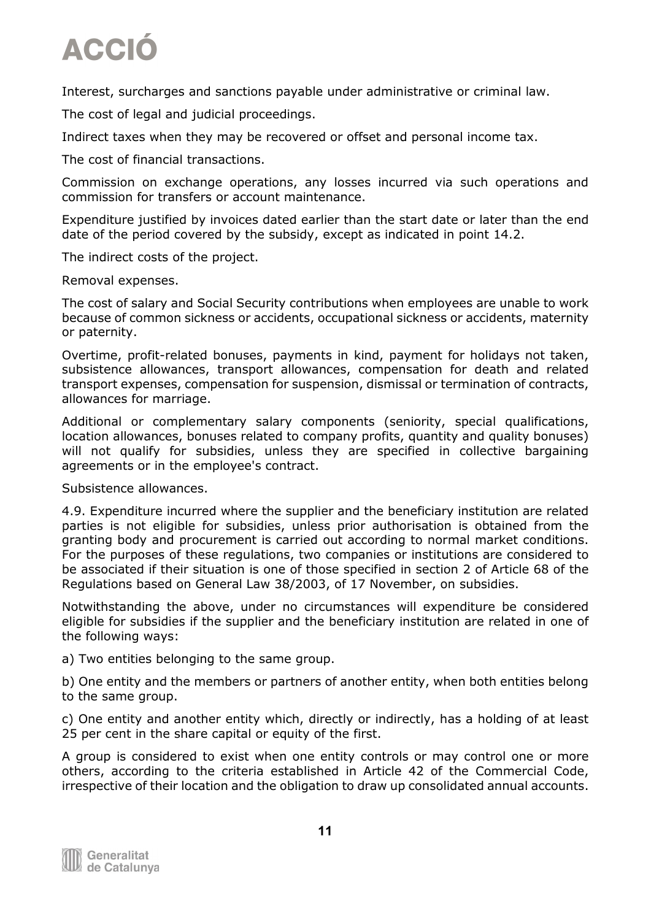Interest, surcharges and sanctions payable under administrative or criminal law.

The cost of legal and judicial proceedings.

Indirect taxes when they may be recovered or offset and personal income tax.

The cost of financial transactions.

Commission on exchange operations, any losses incurred via such operations and commission for transfers or account maintenance.

Expenditure justified by invoices dated earlier than the start date or later than the end date of the period covered by the subsidy, except as indicated in point 14.2.

The indirect costs of the project.

Removal expenses.

The cost of salary and Social Security contributions when employees are unable to work because of common sickness or accidents, occupational sickness or accidents, maternity or paternity.

Overtime, profit-related bonuses, payments in kind, payment for holidays not taken, subsistence allowances, transport allowances, compensation for death and related transport expenses, compensation for suspension, dismissal or termination of contracts, allowances for marriage.

Additional or complementary salary components (seniority, special qualifications, location allowances, bonuses related to company profits, quantity and quality bonuses) will not qualify for subsidies, unless they are specified in collective bargaining agreements or in the employee's contract.

Subsistence allowances.

4.9. Expenditure incurred where the supplier and the beneficiary institution are related parties is not eligible for subsidies, unless prior authorisation is obtained from the granting body and procurement is carried out according to normal market conditions. For the purposes of these regulations, two companies or institutions are considered to be associated if their situation is one of those specified in section 2 of Article 68 of the Regulations based on General Law 38/2003, of 17 November, on subsidies.

Notwithstanding the above, under no circumstances will expenditure be considered eligible for subsidies if the supplier and the beneficiary institution are related in one of the following ways:

a) Two entities belonging to the same group.

b) One entity and the members or partners of another entity, when both entities belong to the same group.

c) One entity and another entity which, directly or indirectly, has a holding of at least 25 per cent in the share capital or equity of the first.

A group is considered to exist when one entity controls or may control one or more others, according to the criteria established in Article 42 of the Commercial Code, irrespective of their location and the obligation to draw up consolidated annual accounts.

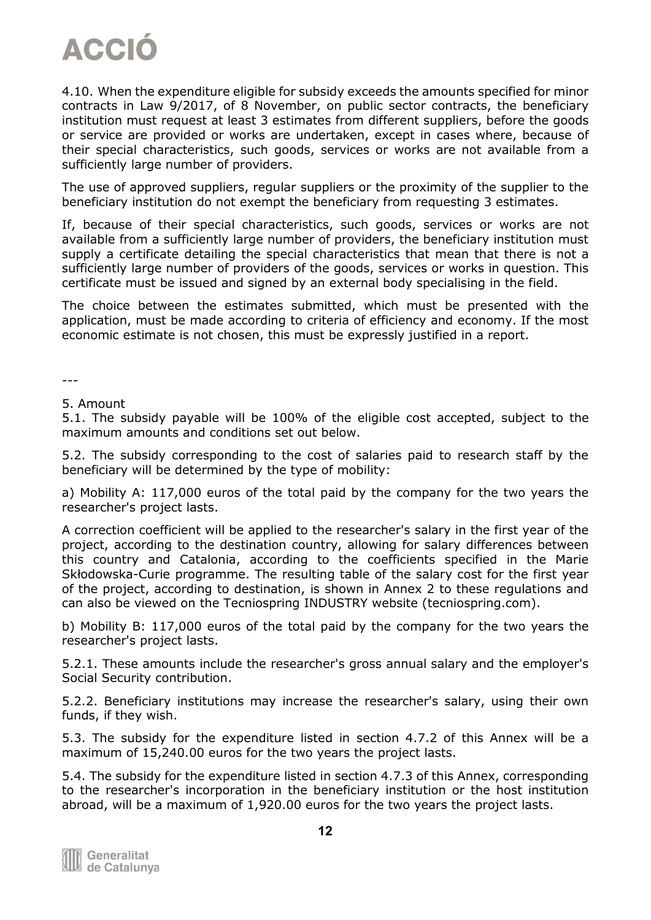4.10. When the expenditure eligible for subsidy exceeds the amounts specified for minor contracts in Law 9/2017, of 8 November, on public sector contracts, the beneficiary institution must request at least 3 estimates from different suppliers, before the goods or service are provided or works are undertaken, except in cases where, because of their special characteristics, such goods, services or works are not available from a sufficiently large number of providers.

The use of approved suppliers, regular suppliers or the proximity of the supplier to the beneficiary institution do not exempt the beneficiary from requesting 3 estimates.

If, because of their special characteristics, such goods, services or works are not available from a sufficiently large number of providers, the beneficiary institution must supply a certificate detailing the special characteristics that mean that there is not a sufficiently large number of providers of the goods, services or works in question. This certificate must be issued and signed by an external body specialising in the field.

The choice between the estimates submitted, which must be presented with the application, must be made according to criteria of efficiency and economy. If the most economic estimate is not chosen, this must be expressly justified in a report.

---

#### 5. Amount

5.1. The subsidy payable will be 100% of the eligible cost accepted, subject to the maximum amounts and conditions set out below.

5.2. The subsidy corresponding to the cost of salaries paid to research staff by the beneficiary will be determined by the type of mobility:

a) Mobility A: 117,000 euros of the total paid by the company for the two years the researcher's project lasts.

A correction coefficient will be applied to the researcher's salary in the first year of the project, according to the destination country, allowing for salary differences between this country and Catalonia, according to the coefficients specified in the Marie Skłodowska-Curie programme. The resulting table of the salary cost for the first year of the project, according to destination, is shown in Annex 2 to these regulations and can also be viewed on the Tecniospring INDUSTRY website (tecniospring.com).

b) Mobility B: 117,000 euros of the total paid by the company for the two years the researcher's project lasts.

5.2.1. These amounts include the researcher's gross annual salary and the employer's Social Security contribution.

5.2.2. Beneficiary institutions may increase the researcher's salary, using their own funds, if they wish.

5.3. The subsidy for the expenditure listed in section 4.7.2 of this Annex will be a maximum of 15,240.00 euros for the two years the project lasts.

5.4. The subsidy for the expenditure listed in section 4.7.3 of this Annex, corresponding to the researcher's incorporation in the beneficiary institution or the host institution abroad, will be a maximum of 1,920.00 euros for the two years the project lasts.

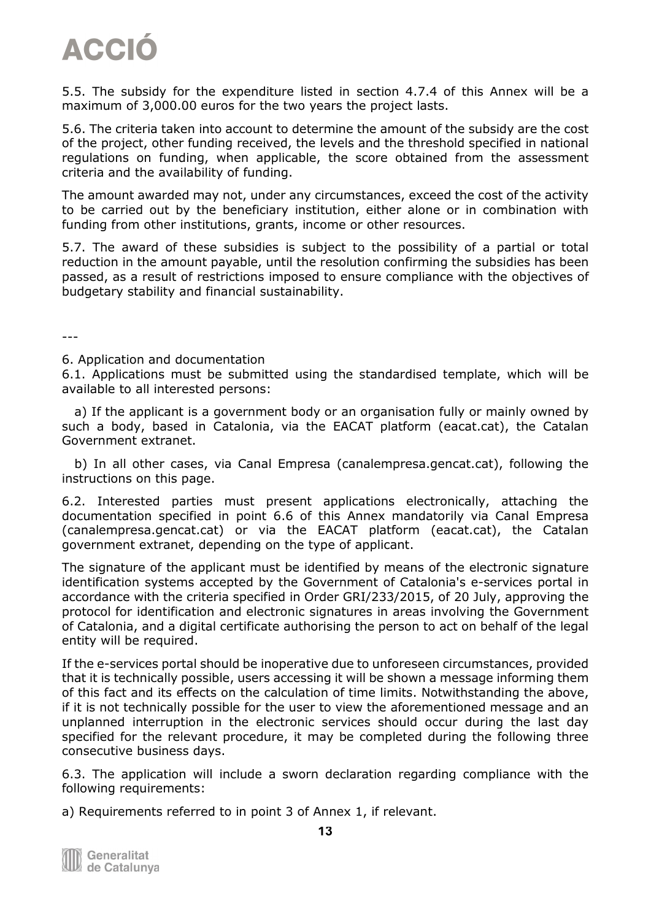5.5. The subsidy for the expenditure listed in section 4.7.4 of this Annex will be a maximum of 3,000.00 euros for the two years the project lasts.

5.6. The criteria taken into account to determine the amount of the subsidy are the cost of the project, other funding received, the levels and the threshold specified in national regulations on funding, when applicable, the score obtained from the assessment criteria and the availability of funding.

The amount awarded may not, under any circumstances, exceed the cost of the activity to be carried out by the beneficiary institution, either alone or in combination with funding from other institutions, grants, income or other resources.

5.7. The award of these subsidies is subject to the possibility of a partial or total reduction in the amount payable, until the resolution confirming the subsidies has been passed, as a result of restrictions imposed to ensure compliance with the objectives of budgetary stability and financial sustainability.

---

#### 6. Application and documentation

6.1. Applications must be submitted using the standardised template, which will be available to all interested persons:

 a) If the applicant is a government body or an organisation fully or mainly owned by such a body, based in Catalonia, via the EACAT platform (eacat.cat), the Catalan Government extranet.

 b) In all other cases, via Canal Empresa (canalempresa.gencat.cat), following the instructions on this page.

6.2. Interested parties must present applications electronically, attaching the documentation specified in point 6.6 of this Annex mandatorily via Canal Empresa (canalempresa.gencat.cat) or via the EACAT platform (eacat.cat), the Catalan government extranet, depending on the type of applicant.

The signature of the applicant must be identified by means of the electronic signature identification systems accepted by the Government of Catalonia's e-services portal in accordance with the criteria specified in Order GRI/233/2015, of 20 July, approving the protocol for identification and electronic signatures in areas involving the Government of Catalonia, and a digital certificate authorising the person to act on behalf of the legal entity will be required.

If the e-services portal should be inoperative due to unforeseen circumstances, provided that it is technically possible, users accessing it will be shown a message informing them of this fact and its effects on the calculation of time limits. Notwithstanding the above, if it is not technically possible for the user to view the aforementioned message and an unplanned interruption in the electronic services should occur during the last day specified for the relevant procedure, it may be completed during the following three consecutive business days.

6.3. The application will include a sworn declaration regarding compliance with the following requirements:

a) Requirements referred to in point 3 of Annex 1, if relevant.

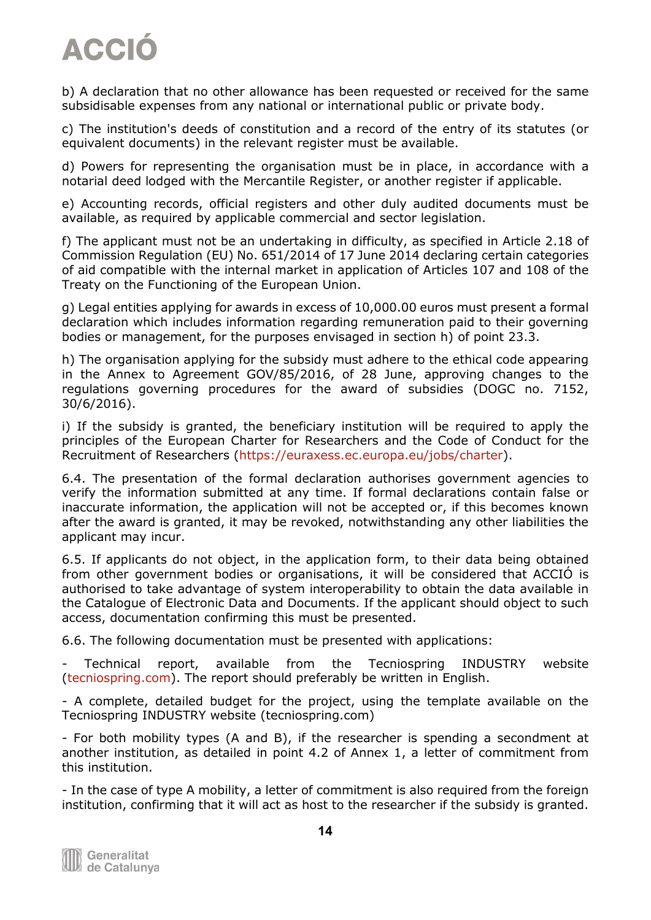b) A declaration that no other allowance has been requested or received for the same subsidisable expenses from any national or international public or private body.

c) The institution's deeds of constitution and a record of the entry of its statutes (or equivalent documents) in the relevant register must be available.

d) Powers for representing the organisation must be in place, in accordance with a notarial deed lodged with the Mercantile Register, or another register if applicable.

e) Accounting records, official registers and other duly audited documents must be available, as required by applicable commercial and sector legislation.

f) The applicant must not be an undertaking in difficulty, as specified in Article 2.18 of Commission Regulation (EU) No. 651/2014 of 17 June 2014 declaring certain categories of aid compatible with the internal market in application of Articles 107 and 108 of the Treaty on the Functioning of the European Union.

g) Legal entities applying for awards in excess of 10,000.00 euros must present a formal declaration which includes information regarding remuneration paid to their governing bodies or management, for the purposes envisaged in section h) of point 23.3.

h) The organisation applying for the subsidy must adhere to the ethical code appearing in the Annex to Agreement GOV/85/2016, of 28 June, approving changes to the regulations governing procedures for the award of subsidies (DOGC no. 7152, 30/6/2016).

i) If the subsidy is granted, the beneficiary institution will be required to apply the principles of the European Charter for Researchers and the Code of Conduct for the Recruitment of Researchers [\(https://euraxess.ec.europa.eu/jobs/charter\)](https://euraxess.ec.europa.eu/jobs/charter).

6.4. The presentation of the formal declaration authorises government agencies to verify the information submitted at any time. If formal declarations contain false or inaccurate information, the application will not be accepted or, if this becomes known after the award is granted, it may be revoked, notwithstanding any other liabilities the applicant may incur.

6.5. If applicants do not object, in the application form, to their data being obtained from other government bodies or organisations, it will be considered that ACCIÓ is authorised to take advantage of system interoperability to obtain the data available in the Catalogue of Electronic Data and Documents. If the applicant should object to such access, documentation confirming this must be presented.

6.6. The following documentation must be presented with applications:

- Technical report, available from the Tecniospring INDUSTRY website [\(tecniospring.com\)](http://www.tecniospring.com/). The report should preferably be written in English.

- A complete, detailed budget for the project, using the template available on the Tecniospring INDUSTRY website (tecniospring.com)

- For both mobility types (A and B), if the researcher is spending a secondment at another institution, as detailed in point 4.2 of Annex 1, a letter of commitment from this institution.

- In the case of type A mobility, a letter of commitment is also required from the foreign institution, confirming that it will act as host to the researcher if the subsidy is granted.

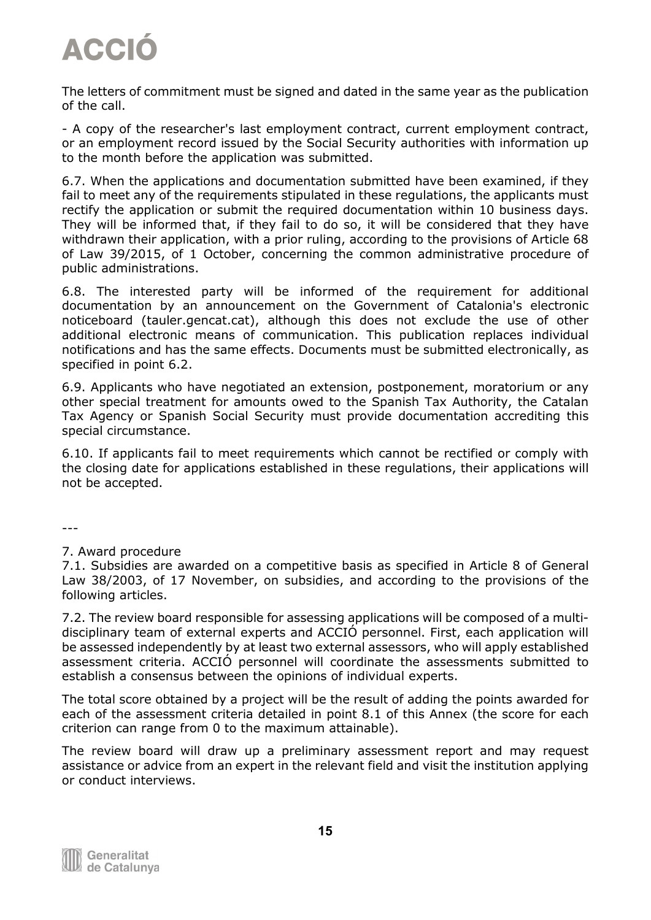The letters of commitment must be signed and dated in the same year as the publication of the call.

- A copy of the researcher's last employment contract, current employment contract, or an employment record issued by the Social Security authorities with information up to the month before the application was submitted.

6.7. When the applications and documentation submitted have been examined, if they fail to meet any of the requirements stipulated in these regulations, the applicants must rectify the application or submit the required documentation within 10 business days. They will be informed that, if they fail to do so, it will be considered that they have withdrawn their application, with a prior ruling, according to the provisions of Article 68 of Law 39/2015, of 1 October, concerning the common administrative procedure of public administrations.

6.8. The interested party will be informed of the requirement for additional documentation by an announcement on the Government of Catalonia's electronic noticeboard (tauler.gencat.cat), although this does not exclude the use of other additional electronic means of communication. This publication replaces individual notifications and has the same effects. Documents must be submitted electronically, as specified in point 6.2.

6.9. Applicants who have negotiated an extension, postponement, moratorium or any other special treatment for amounts owed to the Spanish Tax Authority, the Catalan Tax Agency or Spanish Social Security must provide documentation accrediting this special circumstance.

6.10. If applicants fail to meet requirements which cannot be rectified or comply with the closing date for applications established in these regulations, their applications will not be accepted.

---

#### 7. Award procedure

7.1. Subsidies are awarded on a competitive basis as specified in Article 8 of General Law 38/2003, of 17 November, on subsidies, and according to the provisions of the following articles.

7.2. The review board responsible for assessing applications will be composed of a multidisciplinary team of external experts and ACCIÓ personnel. First, each application will be assessed independently by at least two external assessors, who will apply established assessment criteria. ACCIÓ personnel will coordinate the assessments submitted to establish a consensus between the opinions of individual experts.

The total score obtained by a project will be the result of adding the points awarded for each of the assessment criteria detailed in point 8.1 of this Annex (the score for each criterion can range from 0 to the maximum attainable).

The review board will draw up a preliminary assessment report and may request assistance or advice from an expert in the relevant field and visit the institution applying or conduct interviews.

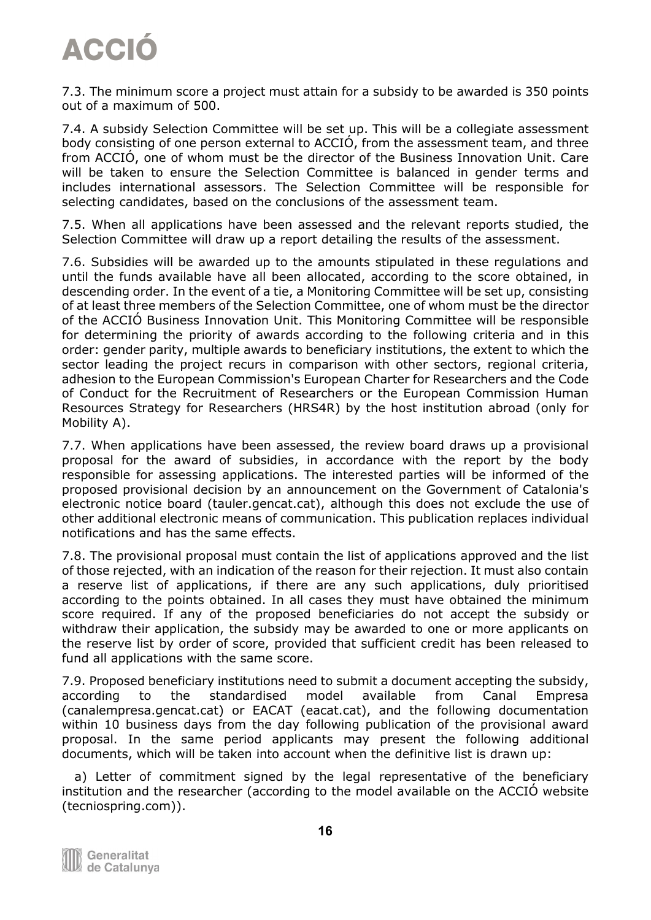7.3. The minimum score a project must attain for a subsidy to be awarded is 350 points out of a maximum of 500.

7.4. A subsidy Selection Committee will be set up. This will be a collegiate assessment body consisting of one person external to ACCIÓ, from the assessment team, and three from ACCIÓ, one of whom must be the director of the Business Innovation Unit. Care will be taken to ensure the Selection Committee is balanced in gender terms and includes international assessors. The Selection Committee will be responsible for selecting candidates, based on the conclusions of the assessment team.

7.5. When all applications have been assessed and the relevant reports studied, the Selection Committee will draw up a report detailing the results of the assessment.

7.6. Subsidies will be awarded up to the amounts stipulated in these regulations and until the funds available have all been allocated, according to the score obtained, in descending order. In the event of a tie, a Monitoring Committee will be set up, consisting of at least three members of the Selection Committee, one of whom must be the director of the ACCIÓ Business Innovation Unit. This Monitoring Committee will be responsible for determining the priority of awards according to the following criteria and in this order: gender parity, multiple awards to beneficiary institutions, the extent to which the sector leading the project recurs in comparison with other sectors, regional criteria, adhesion to the European Commission's European Charter for Researchers and the Code of Conduct for the Recruitment of Researchers or the European Commission Human Resources Strategy for Researchers (HRS4R) by the host institution abroad (only for Mobility A).

7.7. When applications have been assessed, the review board draws up a provisional proposal for the award of subsidies, in accordance with the report by the body responsible for assessing applications. The interested parties will be informed of the proposed provisional decision by an announcement on the Government of Catalonia's electronic notice board (tauler.gencat.cat), although this does not exclude the use of other additional electronic means of communication. This publication replaces individual notifications and has the same effects.

7.8. The provisional proposal must contain the list of applications approved and the list of those rejected, with an indication of the reason for their rejection. It must also contain a reserve list of applications, if there are any such applications, duly prioritised according to the points obtained. In all cases they must have obtained the minimum score required. If any of the proposed beneficiaries do not accept the subsidy or withdraw their application, the subsidy may be awarded to one or more applicants on the reserve list by order of score, provided that sufficient credit has been released to fund all applications with the same score.

7.9. Proposed beneficiary institutions need to submit a document accepting the subsidy, according to the standardised model available from Canal Empresa (canalempresa.gencat.cat) or EACAT (eacat.cat), and the following documentation within 10 business days from the day following publication of the provisional award proposal. In the same period applicants may present the following additional documents, which will be taken into account when the definitive list is drawn up:

 a) Letter of commitment signed by the legal representative of the beneficiary institution and the researcher (according to the model available on the ACCIÓ website (tecniospring.com)).

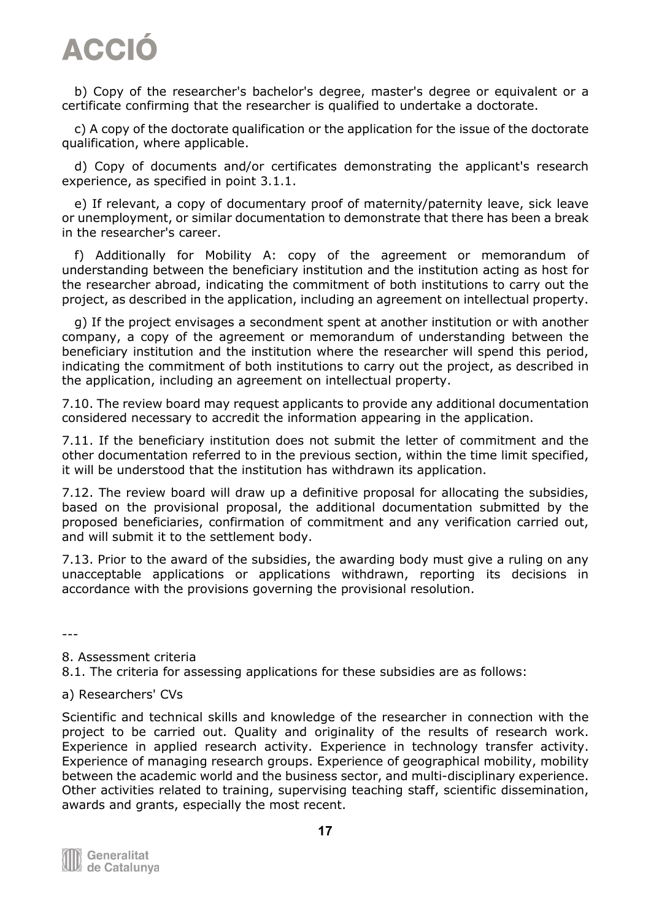b) Copy of the researcher's bachelor's degree, master's degree or equivalent or a certificate confirming that the researcher is qualified to undertake a doctorate.

 c) A copy of the doctorate qualification or the application for the issue of the doctorate qualification, where applicable.

 d) Copy of documents and/or certificates demonstrating the applicant's research experience, as specified in point 3.1.1.

 e) If relevant, a copy of documentary proof of maternity/paternity leave, sick leave or unemployment, or similar documentation to demonstrate that there has been a break in the researcher's career.

 f) Additionally for Mobility A: copy of the agreement or memorandum of understanding between the beneficiary institution and the institution acting as host for the researcher abroad, indicating the commitment of both institutions to carry out the project, as described in the application, including an agreement on intellectual property.

 g) If the project envisages a secondment spent at another institution or with another company, a copy of the agreement or memorandum of understanding between the beneficiary institution and the institution where the researcher will spend this period, indicating the commitment of both institutions to carry out the project, as described in the application, including an agreement on intellectual property.

7.10. The review board may request applicants to provide any additional documentation considered necessary to accredit the information appearing in the application.

7.11. If the beneficiary institution does not submit the letter of commitment and the other documentation referred to in the previous section, within the time limit specified, it will be understood that the institution has withdrawn its application.

7.12. The review board will draw up a definitive proposal for allocating the subsidies, based on the provisional proposal, the additional documentation submitted by the proposed beneficiaries, confirmation of commitment and any verification carried out, and will submit it to the settlement body.

7.13. Prior to the award of the subsidies, the awarding body must give a ruling on any unacceptable applications or applications withdrawn, reporting its decisions in accordance with the provisions governing the provisional resolution.

---

8. Assessment criteria

8.1. The criteria for assessing applications for these subsidies are as follows:

#### a) Researchers' CVs

Scientific and technical skills and knowledge of the researcher in connection with the project to be carried out. Quality and originality of the results of research work. Experience in applied research activity. Experience in technology transfer activity. Experience of managing research groups. Experience of geographical mobility, mobility between the academic world and the business sector, and multi-disciplinary experience. Other activities related to training, supervising teaching staff, scientific dissemination, awards and grants, especially the most recent.

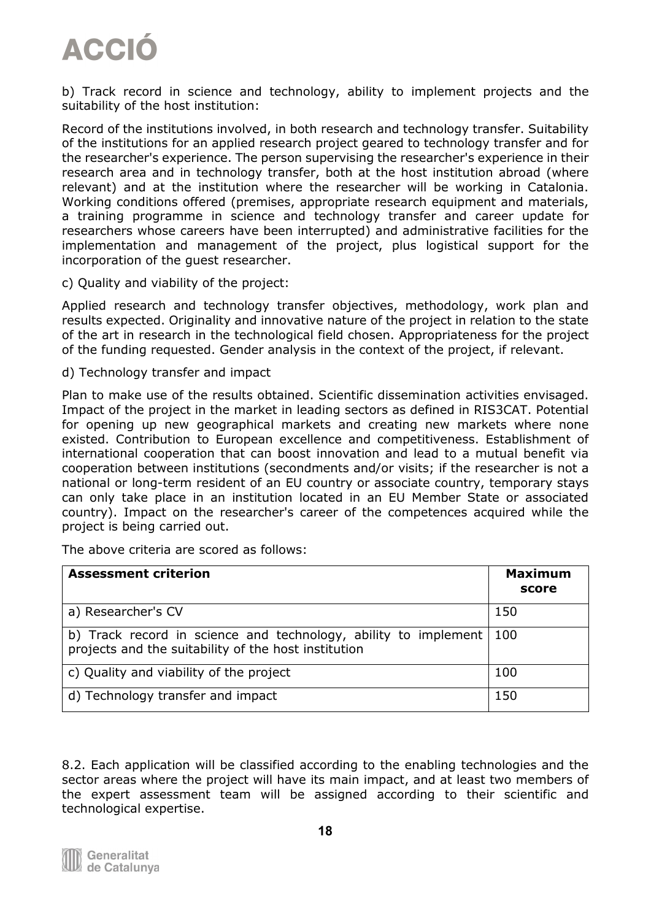b) Track record in science and technology, ability to implement projects and the suitability of the host institution:

Record of the institutions involved, in both research and technology transfer. Suitability of the institutions for an applied research project geared to technology transfer and for the researcher's experience. The person supervising the researcher's experience in their research area and in technology transfer, both at the host institution abroad (where relevant) and at the institution where the researcher will be working in Catalonia. Working conditions offered (premises, appropriate research equipment and materials, a training programme in science and technology transfer and career update for researchers whose careers have been interrupted) and administrative facilities for the implementation and management of the project, plus logistical support for the incorporation of the guest researcher.

c) Quality and viability of the project:

Applied research and technology transfer objectives, methodology, work plan and results expected. Originality and innovative nature of the project in relation to the state of the art in research in the technological field chosen. Appropriateness for the project of the funding requested. Gender analysis in the context of the project, if relevant.

d) Technology transfer and impact

Plan to make use of the results obtained. Scientific dissemination activities envisaged. Impact of the project in the market in leading sectors as defined in RIS3CAT. Potential for opening up new geographical markets and creating new markets where none existed. Contribution to European excellence and competitiveness. Establishment of international cooperation that can boost innovation and lead to a mutual benefit via cooperation between institutions (secondments and/or visits; if the researcher is not a national or long-term resident of an EU country or associate country, temporary stays can only take place in an institution located in an EU Member State or associated country). Impact on the researcher's career of the competences acquired while the project is being carried out.

The above criteria are scored as follows:

| <b>Assessment criterion</b>                                                                                             | <b>Maximum</b><br>score |
|-------------------------------------------------------------------------------------------------------------------------|-------------------------|
| a) Researcher's CV                                                                                                      | 150                     |
| b) Track record in science and technology, ability to implement<br>projects and the suitability of the host institution | -100                    |
| c) Quality and viability of the project                                                                                 | 100                     |
| d) Technology transfer and impact                                                                                       | 150                     |

8.2. Each application will be classified according to the enabling technologies and the sector areas where the project will have its main impact, and at least two members of the expert assessment team will be assigned according to their scientific and technological expertise.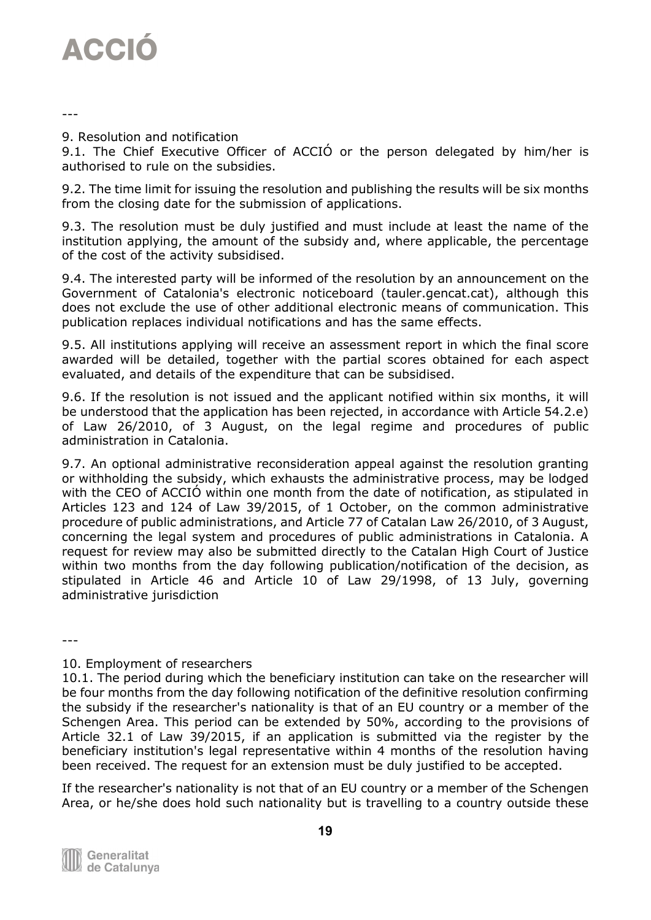

---

9. Resolution and notification

9.1. The Chief Executive Officer of ACCIÓ or the person delegated by him/her is authorised to rule on the subsidies.

9.2. The time limit for issuing the resolution and publishing the results will be six months from the closing date for the submission of applications.

9.3. The resolution must be duly justified and must include at least the name of the institution applying, the amount of the subsidy and, where applicable, the percentage of the cost of the activity subsidised.

9.4. The interested party will be informed of the resolution by an announcement on the Government of Catalonia's electronic noticeboard (tauler.gencat.cat), although this does not exclude the use of other additional electronic means of communication. This publication replaces individual notifications and has the same effects.

9.5. All institutions applying will receive an assessment report in which the final score awarded will be detailed, together with the partial scores obtained for each aspect evaluated, and details of the expenditure that can be subsidised.

9.6. If the resolution is not issued and the applicant notified within six months, it will be understood that the application has been rejected, in accordance with Article 54.2.e) of Law 26/2010, of 3 August, on the legal regime and procedures of public administration in Catalonia.

9.7. An optional administrative reconsideration appeal against the resolution granting or withholding the subsidy, which exhausts the administrative process, may be lodged with the CEO of ACCIÓ within one month from the date of notification, as stipulated in Articles 123 and 124 of Law 39/2015, of 1 October, on the common administrative procedure of public administrations, and Article 77 of Catalan Law 26/2010, of 3 August, concerning the legal system and procedures of public administrations in Catalonia. A request for review may also be submitted directly to the Catalan High Court of Justice within two months from the day following publication/notification of the decision, as stipulated in Article 46 and Article 10 of Law 29/1998, of 13 July, governing administrative jurisdiction

---

#### 10. Employment of researchers

10.1. The period during which the beneficiary institution can take on the researcher will be four months from the day following notification of the definitive resolution confirming the subsidy if the researcher's nationality is that of an EU country or a member of the Schengen Area. This period can be extended by 50%, according to the provisions of Article 32.1 of Law 39/2015, if an application is submitted via the register by the beneficiary institution's legal representative within 4 months of the resolution having been received. The request for an extension must be duly justified to be accepted.

If the researcher's nationality is not that of an EU country or a member of the Schengen Area, or he/she does hold such nationality but is travelling to a country outside these

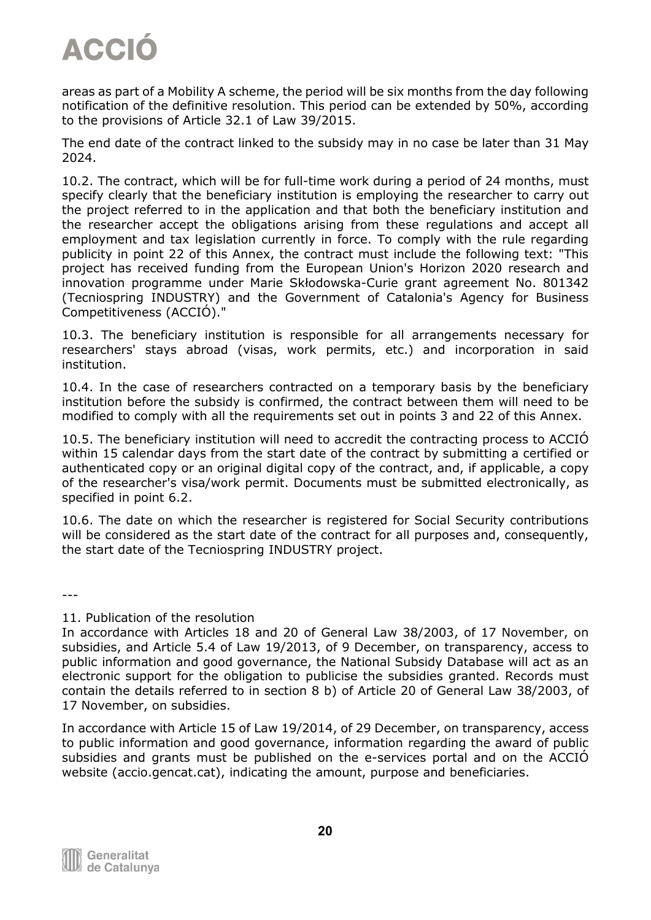areas as part of a Mobility A scheme, the period will be six months from the day following notification of the definitive resolution. This period can be extended by 50%, according to the provisions of Article 32.1 of Law 39/2015.

The end date of the contract linked to the subsidy may in no case be later than 31 May 2024.

10.2. The contract, which will be for full-time work during a period of 24 months, must specify clearly that the beneficiary institution is employing the researcher to carry out the project referred to in the application and that both the beneficiary institution and the researcher accept the obligations arising from these regulations and accept all employment and tax legislation currently in force. To comply with the rule regarding publicity in point 22 of this Annex, the contract must include the following text: "This project has received funding from the European Union's Horizon 2020 research and innovation programme under Marie Skłodowska-Curie grant agreement No. 801342 (Tecniospring INDUSTRY) and the Government of Catalonia's Agency for Business Competitiveness (ACCIÓ)."

10.3. The beneficiary institution is responsible for all arrangements necessary for researchers' stays abroad (visas, work permits, etc.) and incorporation in said institution.

10.4. In the case of researchers contracted on a temporary basis by the beneficiary institution before the subsidy is confirmed, the contract between them will need to be modified to comply with all the requirements set out in points 3 and 22 of this Annex.

10.5. The beneficiary institution will need to accredit the contracting process to ACCIÓ within 15 calendar days from the start date of the contract by submitting a certified or authenticated copy or an original digital copy of the contract, and, if applicable, a copy of the researcher's visa/work permit. Documents must be submitted electronically, as specified in point 6.2.

10.6. The date on which the researcher is registered for Social Security contributions will be considered as the start date of the contract for all purposes and, consequently, the start date of the Tecniospring INDUSTRY project.

---

#### 11. Publication of the resolution

In accordance with Articles 18 and 20 of General Law 38/2003, of 17 November, on subsidies, and Article 5.4 of Law 19/2013, of 9 December, on transparency, access to public information and good governance, the National Subsidy Database will act as an electronic support for the obligation to publicise the subsidies granted. Records must contain the details referred to in section 8 b) of Article 20 of General Law 38/2003, of 17 November, on subsidies.

In accordance with Article 15 of Law 19/2014, of 29 December, on transparency, access to public information and good governance, information regarding the award of public subsidies and grants must be published on the e-services portal and on the ACCIÓ website (accio.gencat.cat), indicating the amount, purpose and beneficiaries.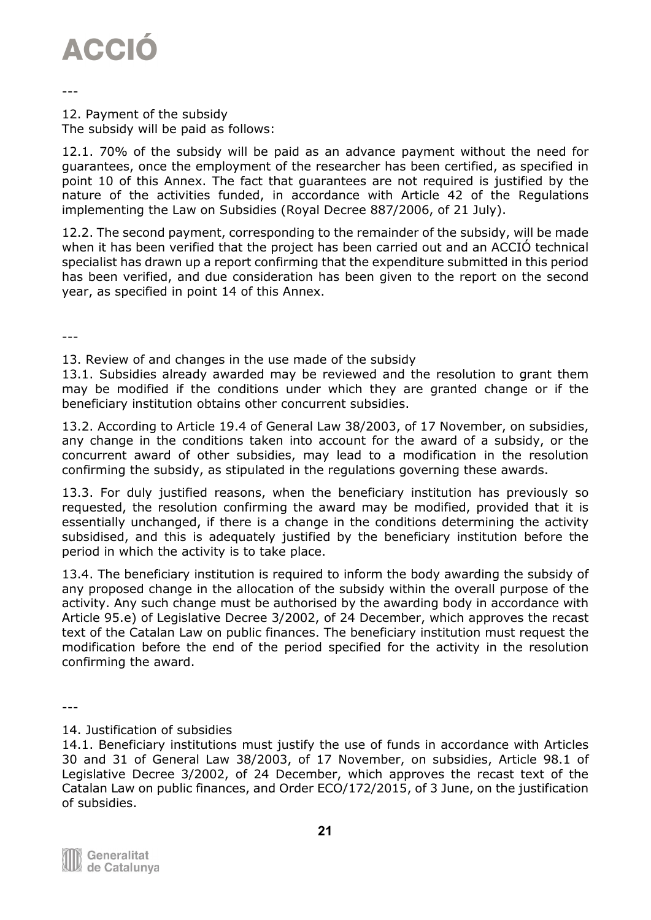

---

12. Payment of the subsidy The subsidy will be paid as follows:

12.1. 70% of the subsidy will be paid as an advance payment without the need for guarantees, once the employment of the researcher has been certified, as specified in point 10 of this Annex. The fact that guarantees are not required is justified by the nature of the activities funded, in accordance with Article 42 of the Regulations implementing the Law on Subsidies (Royal Decree 887/2006, of 21 July).

12.2. The second payment, corresponding to the remainder of the subsidy, will be made when it has been verified that the project has been carried out and an ACCIÓ technical specialist has drawn up a report confirming that the expenditure submitted in this period has been verified, and due consideration has been given to the report on the second year, as specified in point 14 of this Annex.

---

13. Review of and changes in the use made of the subsidy

13.1. Subsidies already awarded may be reviewed and the resolution to grant them may be modified if the conditions under which they are granted change or if the beneficiary institution obtains other concurrent subsidies.

13.2. According to Article 19.4 of General Law 38/2003, of 17 November, on subsidies, any change in the conditions taken into account for the award of a subsidy, or the concurrent award of other subsidies, may lead to a modification in the resolution confirming the subsidy, as stipulated in the regulations governing these awards.

13.3. For duly justified reasons, when the beneficiary institution has previously so requested, the resolution confirming the award may be modified, provided that it is essentially unchanged, if there is a change in the conditions determining the activity subsidised, and this is adequately justified by the beneficiary institution before the period in which the activity is to take place.

13.4. The beneficiary institution is required to inform the body awarding the subsidy of any proposed change in the allocation of the subsidy within the overall purpose of the activity. Any such change must be authorised by the awarding body in accordance with Article 95.e) of Legislative Decree 3/2002, of 24 December, which approves the recast text of the Catalan Law on public finances. The beneficiary institution must request the modification before the end of the period specified for the activity in the resolution confirming the award.

---

<sup>14.1.</sup> Beneficiary institutions must justify the use of funds in accordance with Articles 30 and 31 of General Law 38/2003, of 17 November, on subsidies, Article 98.1 of Legislative Decree 3/2002, of 24 December, which approves the recast text of the Catalan Law on public finances, and Order ECO/172/2015, of 3 June, on the justification of subsidies.



<sup>14.</sup> Justification of subsidies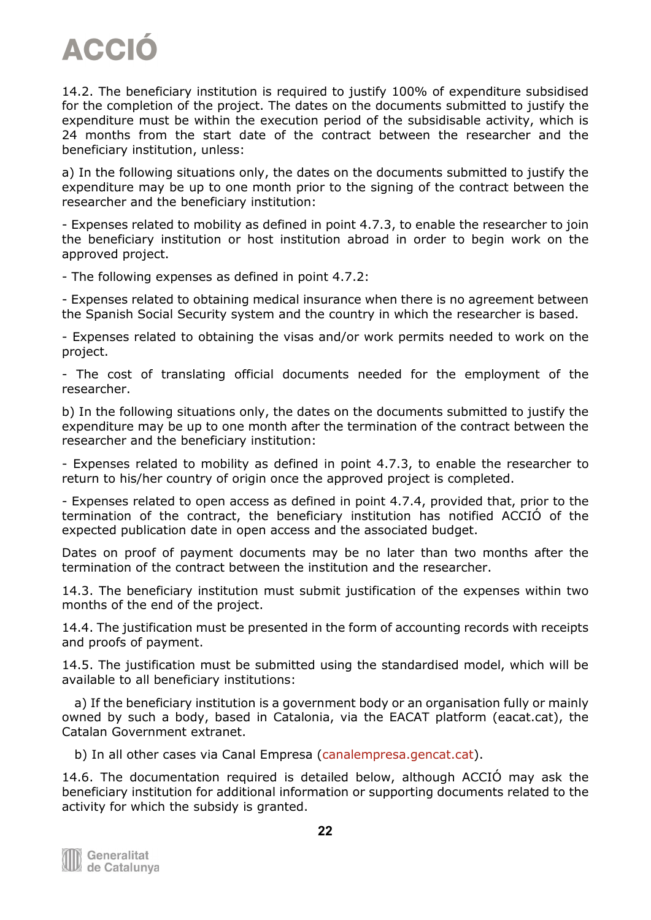14.2. The beneficiary institution is required to justify 100% of expenditure subsidised for the completion of the project. The dates on the documents submitted to justify the expenditure must be within the execution period of the subsidisable activity, which is 24 months from the start date of the contract between the researcher and the beneficiary institution, unless:

a) In the following situations only, the dates on the documents submitted to justify the expenditure may be up to one month prior to the signing of the contract between the researcher and the beneficiary institution:

- Expenses related to mobility as defined in point 4.7.3, to enable the researcher to join the beneficiary institution or host institution abroad in order to begin work on the approved project.

- The following expenses as defined in point 4.7.2:

- Expenses related to obtaining medical insurance when there is no agreement between the Spanish Social Security system and the country in which the researcher is based.

- Expenses related to obtaining the visas and/or work permits needed to work on the project.

- The cost of translating official documents needed for the employment of the researcher.

b) In the following situations only, the dates on the documents submitted to justify the expenditure may be up to one month after the termination of the contract between the researcher and the beneficiary institution:

- Expenses related to mobility as defined in point 4.7.3, to enable the researcher to return to his/her country of origin once the approved project is completed.

- Expenses related to open access as defined in point 4.7.4, provided that, prior to the termination of the contract, the beneficiary institution has notified ACCIÓ of the expected publication date in open access and the associated budget.

Dates on proof of payment documents may be no later than two months after the termination of the contract between the institution and the researcher.

14.3. The beneficiary institution must submit justification of the expenses within two months of the end of the project.

14.4. The justification must be presented in the form of accounting records with receipts and proofs of payment.

14.5. The justification must be submitted using the standardised model, which will be available to all beneficiary institutions:

 a) If the beneficiary institution is a government body or an organisation fully or mainly owned by such a body, based in Catalonia, via the EACAT platform (eacat.cat), the Catalan Government extranet.

b) In all other cases via Canal Empresa [\(canalempresa.gencat.cat\)](http://canalempresa.gencat.cat/).

14.6. The documentation required is detailed below, although ACCIÓ may ask the beneficiary institution for additional information or supporting documents related to the activity for which the subsidy is granted.

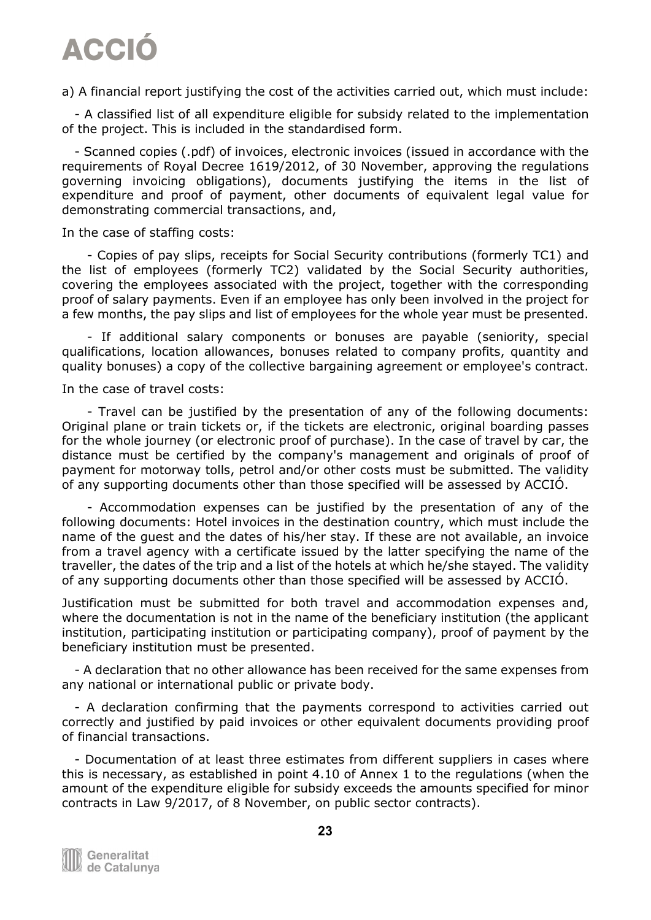a) A financial report justifying the cost of the activities carried out, which must include:

 - A classified list of all expenditure eligible for subsidy related to the implementation of the project. This is included in the standardised form.

 - Scanned copies (.pdf) of invoices, electronic invoices (issued in accordance with the requirements of Royal Decree 1619/2012, of 30 November, approving the regulations governing invoicing obligations), documents justifying the items in the list of expenditure and proof of payment, other documents of equivalent legal value for demonstrating commercial transactions, and,

In the case of staffing costs:

 - Copies of pay slips, receipts for Social Security contributions (formerly TC1) and the list of employees (formerly TC2) validated by the Social Security authorities, covering the employees associated with the project, together with the corresponding proof of salary payments. Even if an employee has only been involved in the project for a few months, the pay slips and list of employees for the whole year must be presented.

 - If additional salary components or bonuses are payable (seniority, special qualifications, location allowances, bonuses related to company profits, quantity and quality bonuses) a copy of the collective bargaining agreement or employee's contract.

In the case of travel costs:

 - Travel can be justified by the presentation of any of the following documents: Original plane or train tickets or, if the tickets are electronic, original boarding passes for the whole journey (or electronic proof of purchase). In the case of travel by car, the distance must be certified by the company's management and originals of proof of payment for motorway tolls, petrol and/or other costs must be submitted. The validity of any supporting documents other than those specified will be assessed by ACCIÓ.

 - Accommodation expenses can be justified by the presentation of any of the following documents: Hotel invoices in the destination country, which must include the name of the guest and the dates of his/her stay. If these are not available, an invoice from a travel agency with a certificate issued by the latter specifying the name of the traveller, the dates of the trip and a list of the hotels at which he/she stayed. The validity of any supporting documents other than those specified will be assessed by ACCIÓ.

Justification must be submitted for both travel and accommodation expenses and, where the documentation is not in the name of the beneficiary institution (the applicant institution, participating institution or participating company), proof of payment by the beneficiary institution must be presented.

 - A declaration that no other allowance has been received for the same expenses from any national or international public or private body.

 - A declaration confirming that the payments correspond to activities carried out correctly and justified by paid invoices or other equivalent documents providing proof of financial transactions.

 - Documentation of at least three estimates from different suppliers in cases where this is necessary, as established in point 4.10 of Annex 1 to the regulations (when the amount of the expenditure eligible for subsidy exceeds the amounts specified for minor contracts in Law 9/2017, of 8 November, on public sector contracts).

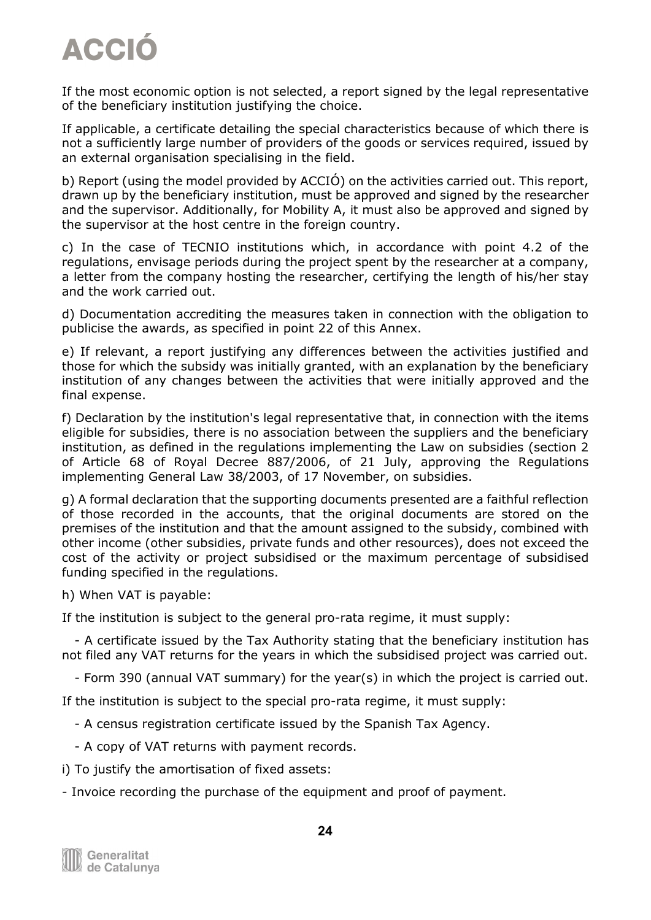If the most economic option is not selected, a report signed by the legal representative of the beneficiary institution justifying the choice.

If applicable, a certificate detailing the special characteristics because of which there is not a sufficiently large number of providers of the goods or services required, issued by an external organisation specialising in the field.

b) Report (using the model provided by ACCIÓ) on the activities carried out. This report, drawn up by the beneficiary institution, must be approved and signed by the researcher and the supervisor. Additionally, for Mobility A, it must also be approved and signed by the supervisor at the host centre in the foreign country.

c) In the case of TECNIO institutions which, in accordance with point 4.2 of the regulations, envisage periods during the project spent by the researcher at a company, a letter from the company hosting the researcher, certifying the length of his/her stay and the work carried out.

d) Documentation accrediting the measures taken in connection with the obligation to publicise the awards, as specified in point 22 of this Annex.

e) If relevant, a report justifying any differences between the activities justified and those for which the subsidy was initially granted, with an explanation by the beneficiary institution of any changes between the activities that were initially approved and the final expense.

f) Declaration by the institution's legal representative that, in connection with the items eligible for subsidies, there is no association between the suppliers and the beneficiary institution, as defined in the regulations implementing the Law on subsidies (section 2 of Article 68 of Royal Decree 887/2006, of 21 July, approving the Regulations implementing General Law 38/2003, of 17 November, on subsidies.

g) A formal declaration that the supporting documents presented are a faithful reflection of those recorded in the accounts, that the original documents are stored on the premises of the institution and that the amount assigned to the subsidy, combined with other income (other subsidies, private funds and other resources), does not exceed the cost of the activity or project subsidised or the maximum percentage of subsidised funding specified in the regulations.

h) When VAT is payable:

If the institution is subject to the general pro-rata regime, it must supply:

 - A certificate issued by the Tax Authority stating that the beneficiary institution has not filed any VAT returns for the years in which the subsidised project was carried out.

- Form 390 (annual VAT summary) for the year(s) in which the project is carried out.

If the institution is subject to the special pro-rata regime, it must supply:

- A census registration certificate issued by the Spanish Tax Agency.

- A copy of VAT returns with payment records.
- i) To justify the amortisation of fixed assets:

- Invoice recording the purchase of the equipment and proof of payment.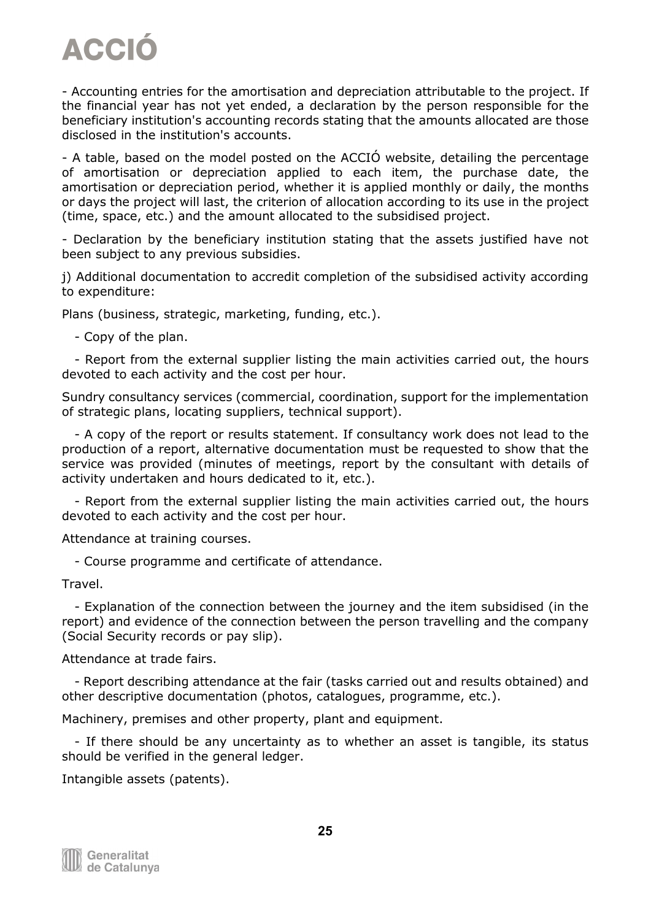- Accounting entries for the amortisation and depreciation attributable to the project. If the financial year has not yet ended, a declaration by the person responsible for the beneficiary institution's accounting records stating that the amounts allocated are those disclosed in the institution's accounts.

- A table, based on the model posted on the ACCIÓ website, detailing the percentage of amortisation or depreciation applied to each item, the purchase date, the amortisation or depreciation period, whether it is applied monthly or daily, the months or days the project will last, the criterion of allocation according to its use in the project (time, space, etc.) and the amount allocated to the subsidised project.

- Declaration by the beneficiary institution stating that the assets justified have not been subject to any previous subsidies.

j) Additional documentation to accredit completion of the subsidised activity according to expenditure:

Plans (business, strategic, marketing, funding, etc.).

- Copy of the plan.

 - Report from the external supplier listing the main activities carried out, the hours devoted to each activity and the cost per hour.

Sundry consultancy services (commercial, coordination, support for the implementation of strategic plans, locating suppliers, technical support).

 - A copy of the report or results statement. If consultancy work does not lead to the production of a report, alternative documentation must be requested to show that the service was provided (minutes of meetings, report by the consultant with details of activity undertaken and hours dedicated to it, etc.).

 - Report from the external supplier listing the main activities carried out, the hours devoted to each activity and the cost per hour.

Attendance at training courses.

- Course programme and certificate of attendance.

Travel.

 - Explanation of the connection between the journey and the item subsidised (in the report) and evidence of the connection between the person travelling and the company (Social Security records or pay slip).

Attendance at trade fairs.

 - Report describing attendance at the fair (tasks carried out and results obtained) and other descriptive documentation (photos, catalogues, programme, etc.).

Machinery, premises and other property, plant and equipment.

 - If there should be any uncertainty as to whether an asset is tangible, its status should be verified in the general ledger.

Intangible assets (patents).

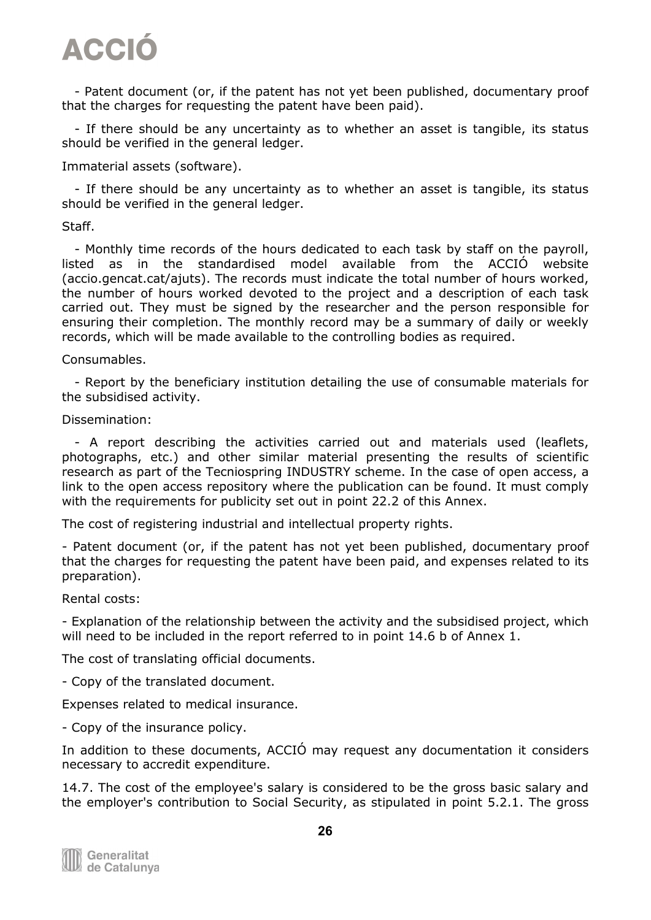- Patent document (or, if the patent has not yet been published, documentary proof that the charges for requesting the patent have been paid).

 - If there should be any uncertainty as to whether an asset is tangible, its status should be verified in the general ledger.

Immaterial assets (software).

 - If there should be any uncertainty as to whether an asset is tangible, its status should be verified in the general ledger.

#### Staff.

 - Monthly time records of the hours dedicated to each task by staff on the payroll, listed as in the standardised model available from the ACCIÓ website (accio.gencat.cat/ajuts). The records must indicate the total number of hours worked, the number of hours worked devoted to the project and a description of each task carried out. They must be signed by the researcher and the person responsible for ensuring their completion. The monthly record may be a summary of daily or weekly records, which will be made available to the controlling bodies as required.

#### Consumables.

 - Report by the beneficiary institution detailing the use of consumable materials for the subsidised activity.

#### Dissemination:

 - A report describing the activities carried out and materials used (leaflets, photographs, etc.) and other similar material presenting the results of scientific research as part of the Tecniospring INDUSTRY scheme. In the case of open access, a link to the open access repository where the publication can be found. It must comply with the requirements for publicity set out in point 22.2 of this Annex.

The cost of registering industrial and intellectual property rights.

- Patent document (or, if the patent has not yet been published, documentary proof that the charges for requesting the patent have been paid, and expenses related to its preparation).

Rental costs:

- Explanation of the relationship between the activity and the subsidised project, which will need to be included in the report referred to in point 14.6 b of Annex 1.

The cost of translating official documents.

- Copy of the translated document.

Expenses related to medical insurance.

- Copy of the insurance policy.

In addition to these documents, ACCIÓ may request any documentation it considers necessary to accredit expenditure.

14.7. The cost of the employee's salary is considered to be the gross basic salary and the employer's contribution to Social Security, as stipulated in point 5.2.1. The gross

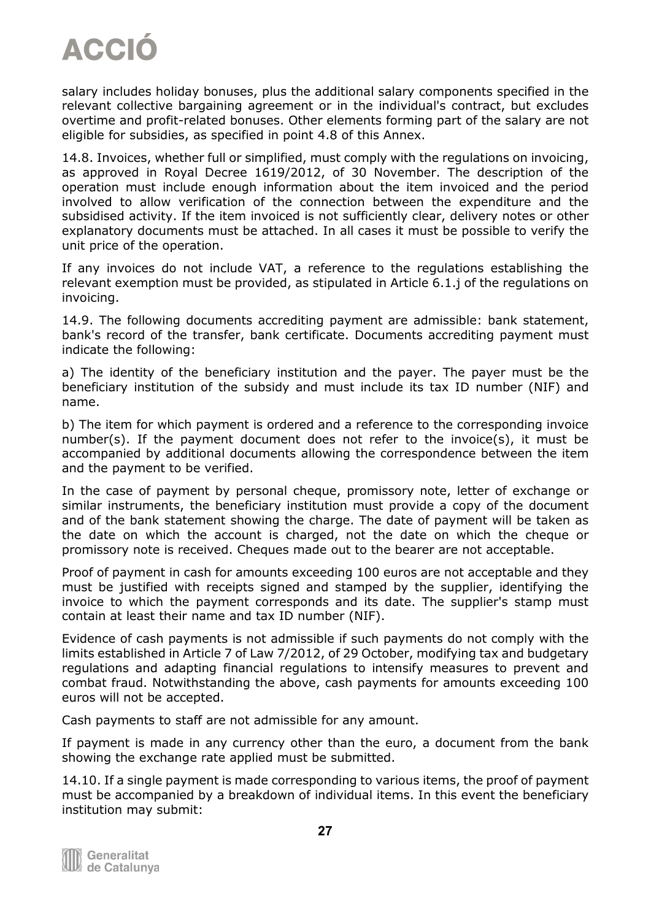

salary includes holiday bonuses, plus the additional salary components specified in the relevant collective bargaining agreement or in the individual's contract, but excludes overtime and profit-related bonuses. Other elements forming part of the salary are not eligible for subsidies, as specified in point 4.8 of this Annex.

14.8. Invoices, whether full or simplified, must comply with the regulations on invoicing, as approved in Royal Decree 1619/2012, of 30 November. The description of the operation must include enough information about the item invoiced and the period involved to allow verification of the connection between the expenditure and the subsidised activity. If the item invoiced is not sufficiently clear, delivery notes or other explanatory documents must be attached. In all cases it must be possible to verify the unit price of the operation.

If any invoices do not include VAT, a reference to the regulations establishing the relevant exemption must be provided, as stipulated in Article 6.1.j of the regulations on invoicing.

14.9. The following documents accrediting payment are admissible: bank statement, bank's record of the transfer, bank certificate. Documents accrediting payment must indicate the following:

a) The identity of the beneficiary institution and the payer. The payer must be the beneficiary institution of the subsidy and must include its tax ID number (NIF) and name.

b) The item for which payment is ordered and a reference to the corresponding invoice number(s). If the payment document does not refer to the invoice(s), it must be accompanied by additional documents allowing the correspondence between the item and the payment to be verified.

In the case of payment by personal cheque, promissory note, letter of exchange or similar instruments, the beneficiary institution must provide a copy of the document and of the bank statement showing the charge. The date of payment will be taken as the date on which the account is charged, not the date on which the cheque or promissory note is received. Cheques made out to the bearer are not acceptable.

Proof of payment in cash for amounts exceeding 100 euros are not acceptable and they must be justified with receipts signed and stamped by the supplier, identifying the invoice to which the payment corresponds and its date. The supplier's stamp must contain at least their name and tax ID number (NIF).

Evidence of cash payments is not admissible if such payments do not comply with the limits established in Article 7 of Law 7/2012, of 29 October, modifying tax and budgetary regulations and adapting financial regulations to intensify measures to prevent and combat fraud. Notwithstanding the above, cash payments for amounts exceeding 100 euros will not be accepted.

Cash payments to staff are not admissible for any amount.

If payment is made in any currency other than the euro, a document from the bank showing the exchange rate applied must be submitted.

14.10. If a single payment is made corresponding to various items, the proof of payment must be accompanied by a breakdown of individual items. In this event the beneficiary institution may submit:

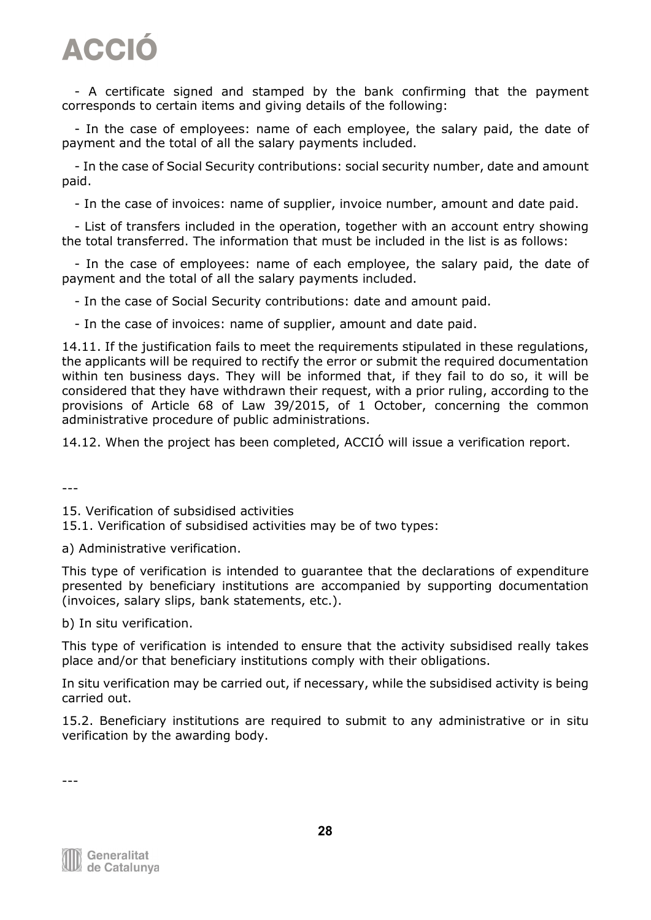- A certificate signed and stamped by the bank confirming that the payment corresponds to certain items and giving details of the following:

 - In the case of employees: name of each employee, the salary paid, the date of payment and the total of all the salary payments included.

 - In the case of Social Security contributions: social security number, date and amount paid.

- In the case of invoices: name of supplier, invoice number, amount and date paid.

 - List of transfers included in the operation, together with an account entry showing the total transferred. The information that must be included in the list is as follows:

 - In the case of employees: name of each employee, the salary paid, the date of payment and the total of all the salary payments included.

- In the case of Social Security contributions: date and amount paid.

- In the case of invoices: name of supplier, amount and date paid.

14.11. If the justification fails to meet the requirements stipulated in these regulations, the applicants will be required to rectify the error or submit the required documentation within ten business days. They will be informed that, if they fail to do so, it will be considered that they have withdrawn their request, with a prior ruling, according to the provisions of Article 68 of Law 39/2015, of 1 October, concerning the common administrative procedure of public administrations.

14.12. When the project has been completed, ACCIÓ will issue a verification report.

---

15. Verification of subsidised activities

15.1. Verification of subsidised activities may be of two types:

a) Administrative verification.

This type of verification is intended to guarantee that the declarations of expenditure presented by beneficiary institutions are accompanied by supporting documentation (invoices, salary slips, bank statements, etc.).

b) In situ verification.

This type of verification is intended to ensure that the activity subsidised really takes place and/or that beneficiary institutions comply with their obligations.

In situ verification may be carried out, if necessary, while the subsidised activity is being carried out.

15.2. Beneficiary institutions are required to submit to any administrative or in situ verification by the awarding body.

Generalitat de Catalunya

---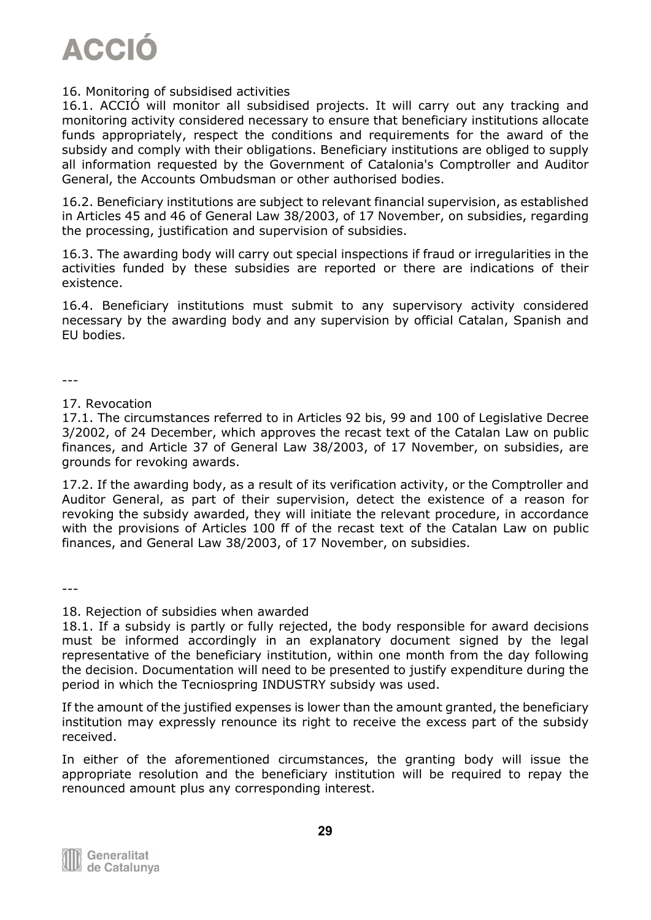

#### 16. Monitoring of subsidised activities

16.1. ACCIÓ will monitor all subsidised projects. It will carry out any tracking and monitoring activity considered necessary to ensure that beneficiary institutions allocate funds appropriately, respect the conditions and requirements for the award of the subsidy and comply with their obligations. Beneficiary institutions are obliged to supply all information requested by the Government of Catalonia's Comptroller and Auditor General, the Accounts Ombudsman or other authorised bodies.

16.2. Beneficiary institutions are subject to relevant financial supervision, as established in Articles 45 and 46 of General Law 38/2003, of 17 November, on subsidies, regarding the processing, justification and supervision of subsidies.

16.3. The awarding body will carry out special inspections if fraud or irregularities in the activities funded by these subsidies are reported or there are indications of their existence.

16.4. Beneficiary institutions must submit to any supervisory activity considered necessary by the awarding body and any supervision by official Catalan, Spanish and EU bodies.

---

#### 17. Revocation

17.1. The circumstances referred to in Articles 92 bis, 99 and 100 of Legislative Decree 3/2002, of 24 December, which approves the recast text of the Catalan Law on public finances, and Article 37 of General Law 38/2003, of 17 November, on subsidies, are grounds for revoking awards.

17.2. If the awarding body, as a result of its verification activity, or the Comptroller and Auditor General, as part of their supervision, detect the existence of a reason for revoking the subsidy awarded, they will initiate the relevant procedure, in accordance with the provisions of Articles 100 ff of the recast text of the Catalan Law on public finances, and General Law 38/2003, of 17 November, on subsidies.

---

#### 18. Rejection of subsidies when awarded

18.1. If a subsidy is partly or fully rejected, the body responsible for award decisions must be informed accordingly in an explanatory document signed by the legal representative of the beneficiary institution, within one month from the day following the decision. Documentation will need to be presented to justify expenditure during the period in which the Tecniospring INDUSTRY subsidy was used.

If the amount of the justified expenses is lower than the amount granted, the beneficiary institution may expressly renounce its right to receive the excess part of the subsidy received.

In either of the aforementioned circumstances, the granting body will issue the appropriate resolution and the beneficiary institution will be required to repay the renounced amount plus any corresponding interest.

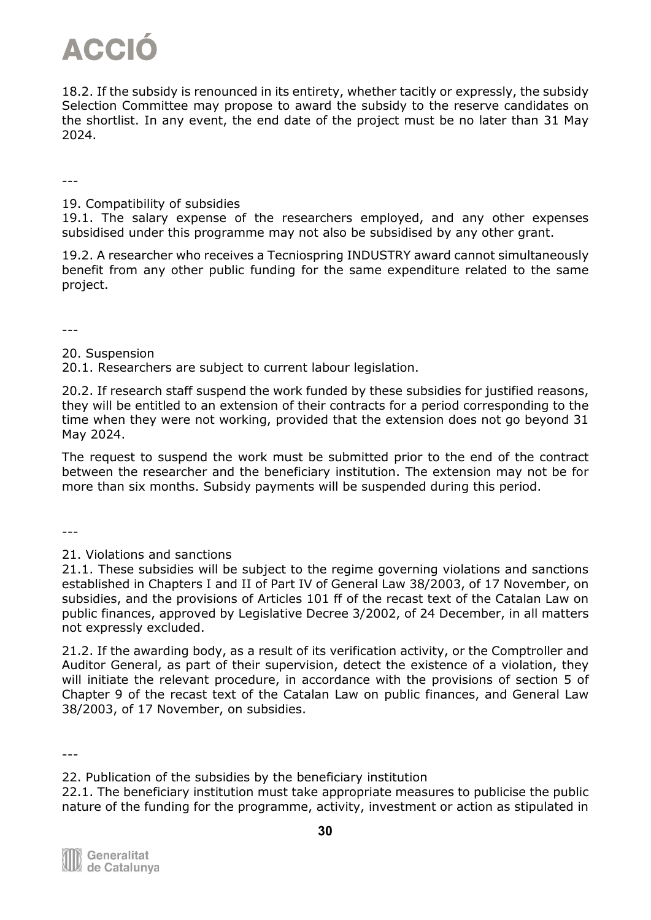18.2. If the subsidy is renounced in its entirety, whether tacitly or expressly, the subsidy Selection Committee may propose to award the subsidy to the reserve candidates on the shortlist. In any event, the end date of the project must be no later than 31 May 2024.

---

19. Compatibility of subsidies

19.1. The salary expense of the researchers employed, and any other expenses subsidised under this programme may not also be subsidised by any other grant.

19.2. A researcher who receives a Tecniospring INDUSTRY award cannot simultaneously benefit from any other public funding for the same expenditure related to the same project.

---

20. Suspension

20.1. Researchers are subject to current labour legislation.

20.2. If research staff suspend the work funded by these subsidies for justified reasons, they will be entitled to an extension of their contracts for a period corresponding to the time when they were not working, provided that the extension does not go beyond 31 May 2024.

The request to suspend the work must be submitted prior to the end of the contract between the researcher and the beneficiary institution. The extension may not be for more than six months. Subsidy payments will be suspended during this period.

---

21. Violations and sanctions

21.1. These subsidies will be subject to the regime governing violations and sanctions established in Chapters I and II of Part IV of General Law 38/2003, of 17 November, on subsidies, and the provisions of Articles 101 ff of the recast text of the Catalan Law on public finances, approved by Legislative Decree 3/2002, of 24 December, in all matters not expressly excluded.

21.2. If the awarding body, as a result of its verification activity, or the Comptroller and Auditor General, as part of their supervision, detect the existence of a violation, they will initiate the relevant procedure, in accordance with the provisions of section 5 of Chapter 9 of the recast text of the Catalan Law on public finances, and General Law 38/2003, of 17 November, on subsidies.

---

<sup>22.</sup> Publication of the subsidies by the beneficiary institution

<sup>22.1.</sup> The beneficiary institution must take appropriate measures to publicise the public nature of the funding for the programme, activity, investment or action as stipulated in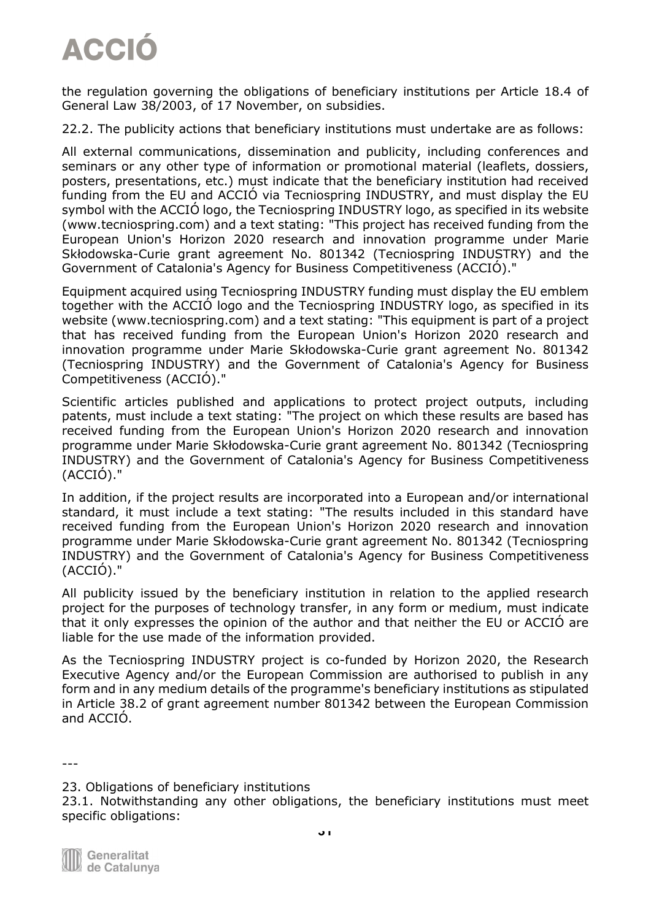the regulation governing the obligations of beneficiary institutions per Article 18.4 of General Law 38/2003, of 17 November, on subsidies.

22.2. The publicity actions that beneficiary institutions must undertake are as follows:

All external communications, dissemination and publicity, including conferences and seminars or any other type of information or promotional material (leaflets, dossiers, posters, presentations, etc.) must indicate that the beneficiary institution had received funding from the EU and ACCIÓ via Tecniospring INDUSTRY, and must display the EU symbol with the ACCIÓ logo, the Tecniospring INDUSTRY logo, as specified in its website (www.tecniospring.com) and a text stating: "This project has received funding from the European Union's Horizon 2020 research and innovation programme under Marie Skłodowska-Curie grant agreement No. 801342 (Tecniospring INDUSTRY) and the Government of Catalonia's Agency for Business Competitiveness (ACCIÓ)."

Equipment acquired using Tecniospring INDUSTRY funding must display the EU emblem together with the ACCIÓ logo and the Tecniospring INDUSTRY logo, as specified in its website (www.tecniospring.com) and a text stating: "This equipment is part of a project that has received funding from the European Union's Horizon 2020 research and innovation programme under Marie Skłodowska-Curie grant agreement No. 801342 (Tecniospring INDUSTRY) and the Government of Catalonia's Agency for Business Competitiveness (ACCIÓ)."

Scientific articles published and applications to protect project outputs, including patents, must include a text stating: "The project on which these results are based has received funding from the European Union's Horizon 2020 research and innovation programme under Marie Skłodowska-Curie grant agreement No. 801342 (Tecniospring INDUSTRY) and the Government of Catalonia's Agency for Business Competitiveness (ACCIÓ)."

In addition, if the project results are incorporated into a European and/or international standard, it must include a text stating: "The results included in this standard have received funding from the European Union's Horizon 2020 research and innovation programme under Marie Skłodowska-Curie grant agreement No. 801342 (Tecniospring INDUSTRY) and the Government of Catalonia's Agency for Business Competitiveness (ACCIÓ)."

All publicity issued by the beneficiary institution in relation to the applied research project for the purposes of technology transfer, in any form or medium, must indicate that it only expresses the opinion of the author and that neither the EU or ACCIÓ are liable for the use made of the information provided.

As the Tecniospring INDUSTRY project is co-funded by Horizon 2020, the Research Executive Agency and/or the European Commission are authorised to publish in any form and in any medium details of the programme's beneficiary institutions as stipulated in Article 38.2 of grant agreement number 801342 between the European Commission and ACCIÓ.

---

23. Obligations of beneficiary institutions

23.1. Notwithstanding any other obligations, the beneficiary institutions must meet specific obligations:

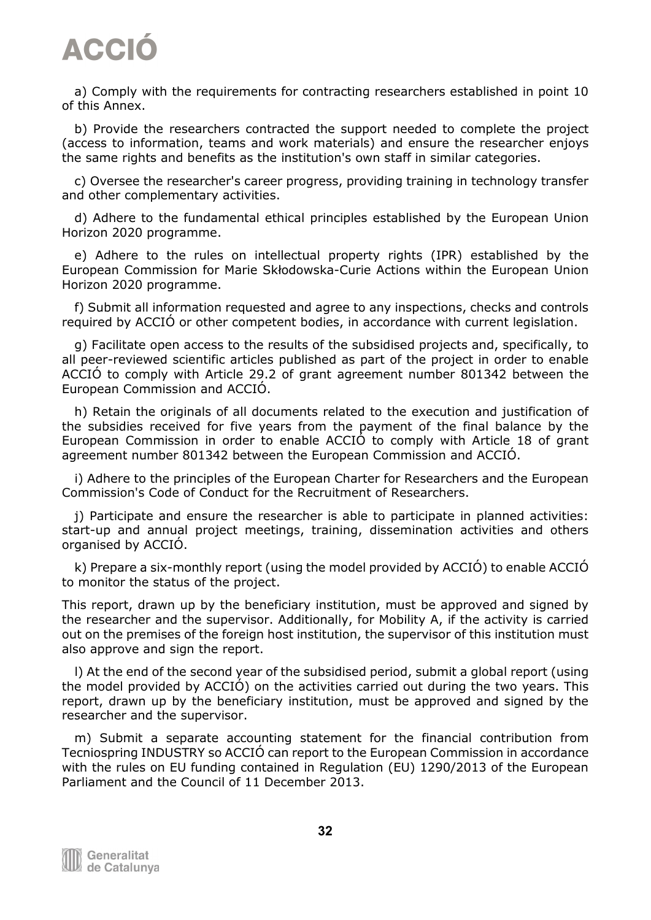a) Comply with the requirements for contracting researchers established in point 10 of this Annex.

 b) Provide the researchers contracted the support needed to complete the project (access to information, teams and work materials) and ensure the researcher enjoys the same rights and benefits as the institution's own staff in similar categories.

 c) Oversee the researcher's career progress, providing training in technology transfer and other complementary activities.

 d) Adhere to the fundamental ethical principles established by the European Union Horizon 2020 programme.

 e) Adhere to the rules on intellectual property rights (IPR) established by the European Commission for Marie Skłodowska-Curie Actions within the European Union Horizon 2020 programme.

 f) Submit all information requested and agree to any inspections, checks and controls required by ACCIÓ or other competent bodies, in accordance with current legislation.

 g) Facilitate open access to the results of the subsidised projects and, specifically, to all peer-reviewed scientific articles published as part of the project in order to enable ACCIÓ to comply with Article 29.2 of grant agreement number 801342 between the European Commission and ACCIÓ.

 h) Retain the originals of all documents related to the execution and justification of the subsidies received for five years from the payment of the final balance by the European Commission in order to enable ACCIÓ to comply with Article 18 of grant agreement number 801342 between the European Commission and ACCIÓ.

 i) Adhere to the principles of the European Charter for Researchers and the European Commission's Code of Conduct for the Recruitment of Researchers.

 j) Participate and ensure the researcher is able to participate in planned activities: start-up and annual project meetings, training, dissemination activities and others organised by ACCIÓ.

 k) Prepare a six-monthly report (using the model provided by ACCIÓ) to enable ACCIÓ to monitor the status of the project.

This report, drawn up by the beneficiary institution, must be approved and signed by the researcher and the supervisor. Additionally, for Mobility A, if the activity is carried out on the premises of the foreign host institution, the supervisor of this institution must also approve and sign the report.

 l) At the end of the second year of the subsidised period, submit a global report (using the model provided by ACCIÓ) on the activities carried out during the two years. This report, drawn up by the beneficiary institution, must be approved and signed by the researcher and the supervisor.

 m) Submit a separate accounting statement for the financial contribution from Tecniospring INDUSTRY so ACCIÓ can report to the European Commission in accordance with the rules on EU funding contained in Regulation (EU) 1290/2013 of the European Parliament and the Council of 11 December 2013.

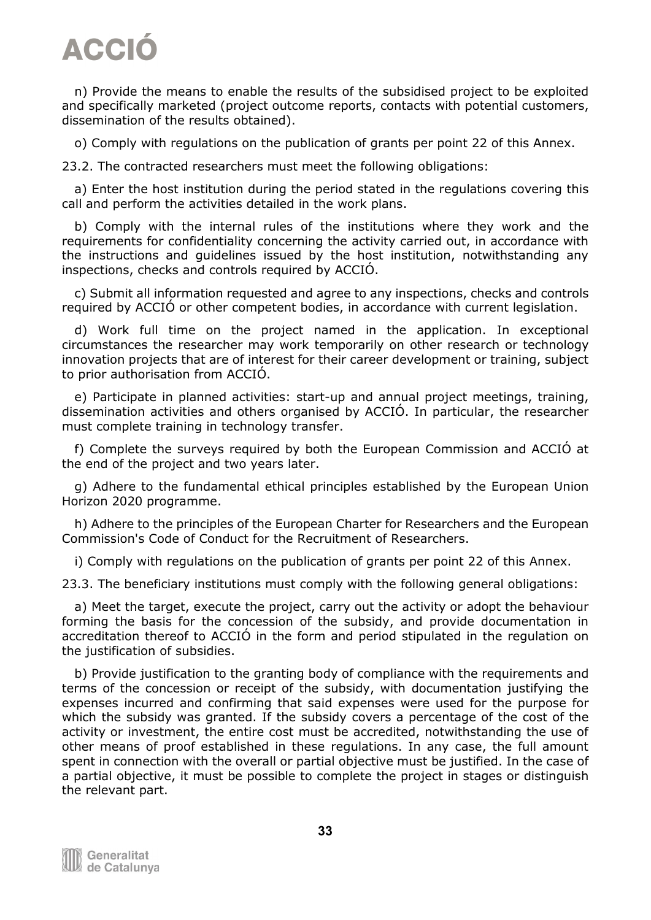n) Provide the means to enable the results of the subsidised project to be exploited and specifically marketed (project outcome reports, contacts with potential customers, dissemination of the results obtained).

o) Comply with regulations on the publication of grants per point 22 of this Annex.

23.2. The contracted researchers must meet the following obligations:

 a) Enter the host institution during the period stated in the regulations covering this call and perform the activities detailed in the work plans.

 b) Comply with the internal rules of the institutions where they work and the requirements for confidentiality concerning the activity carried out, in accordance with the instructions and guidelines issued by the host institution, notwithstanding any inspections, checks and controls required by ACCIÓ.

 c) Submit all information requested and agree to any inspections, checks and controls required by ACCIÓ or other competent bodies, in accordance with current legislation.

 d) Work full time on the project named in the application. In exceptional circumstances the researcher may work temporarily on other research or technology innovation projects that are of interest for their career development or training, subject to prior authorisation from ACCIÓ.

 e) Participate in planned activities: start-up and annual project meetings, training, dissemination activities and others organised by ACCIÓ. In particular, the researcher must complete training in technology transfer.

 f) Complete the surveys required by both the European Commission and ACCIÓ at the end of the project and two years later.

 g) Adhere to the fundamental ethical principles established by the European Union Horizon 2020 programme.

 h) Adhere to the principles of the European Charter for Researchers and the European Commission's Code of Conduct for the Recruitment of Researchers.

i) Comply with regulations on the publication of grants per point 22 of this Annex.

23.3. The beneficiary institutions must comply with the following general obligations:

 a) Meet the target, execute the project, carry out the activity or adopt the behaviour forming the basis for the concession of the subsidy, and provide documentation in accreditation thereof to ACCIÓ in the form and period stipulated in the regulation on the justification of subsidies.

 b) Provide justification to the granting body of compliance with the requirements and terms of the concession or receipt of the subsidy, with documentation justifying the expenses incurred and confirming that said expenses were used for the purpose for which the subsidy was granted. If the subsidy covers a percentage of the cost of the activity or investment, the entire cost must be accredited, notwithstanding the use of other means of proof established in these regulations. In any case, the full amount spent in connection with the overall or partial objective must be justified. In the case of a partial objective, it must be possible to complete the project in stages or distinguish the relevant part.

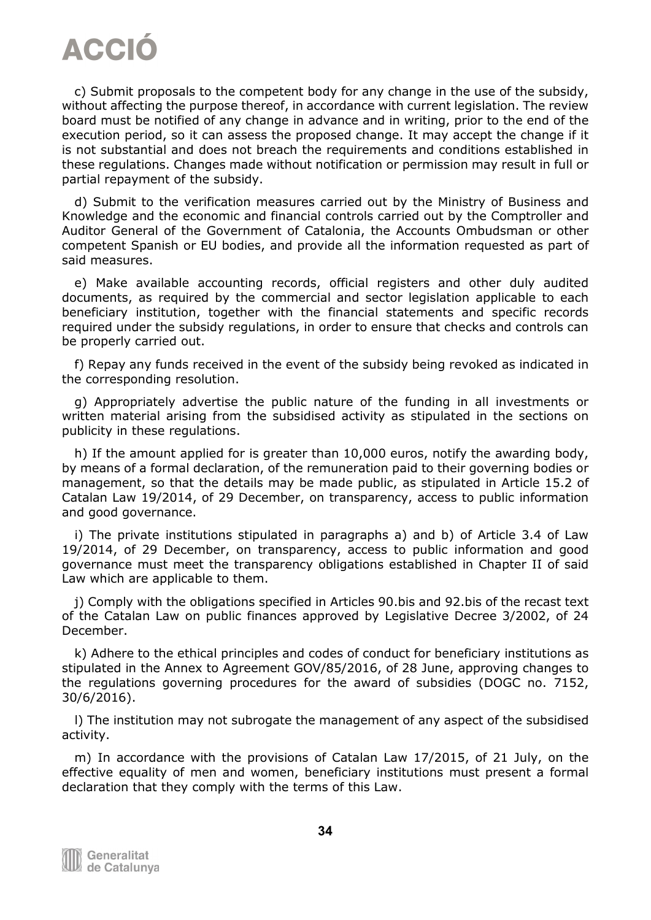c) Submit proposals to the competent body for any change in the use of the subsidy, without affecting the purpose thereof, in accordance with current legislation. The review board must be notified of any change in advance and in writing, prior to the end of the execution period, so it can assess the proposed change. It may accept the change if it is not substantial and does not breach the requirements and conditions established in these regulations. Changes made without notification or permission may result in full or partial repayment of the subsidy.

 d) Submit to the verification measures carried out by the Ministry of Business and Knowledge and the economic and financial controls carried out by the Comptroller and Auditor General of the Government of Catalonia, the Accounts Ombudsman or other competent Spanish or EU bodies, and provide all the information requested as part of said measures.

 e) Make available accounting records, official registers and other duly audited documents, as required by the commercial and sector legislation applicable to each beneficiary institution, together with the financial statements and specific records required under the subsidy regulations, in order to ensure that checks and controls can be properly carried out.

 f) Repay any funds received in the event of the subsidy being revoked as indicated in the corresponding resolution.

 g) Appropriately advertise the public nature of the funding in all investments or written material arising from the subsidised activity as stipulated in the sections on publicity in these regulations.

 h) If the amount applied for is greater than 10,000 euros, notify the awarding body, by means of a formal declaration, of the remuneration paid to their governing bodies or management, so that the details may be made public, as stipulated in Article 15.2 of Catalan Law 19/2014, of 29 December, on transparency, access to public information and good governance.

 i) The private institutions stipulated in paragraphs a) and b) of Article 3.4 of Law 19/2014, of 29 December, on transparency, access to public information and good governance must meet the transparency obligations established in Chapter II of said Law which are applicable to them.

 j) Comply with the obligations specified in Articles 90.bis and 92.bis of the recast text of the Catalan Law on public finances approved by Legislative Decree 3/2002, of 24 December.

 k) Adhere to the ethical principles and codes of conduct for beneficiary institutions as stipulated in the Annex to Agreement GOV/85/2016, of 28 June, approving changes to the regulations governing procedures for the award of subsidies (DOGC no. 7152, 30/6/2016).

 l) The institution may not subrogate the management of any aspect of the subsidised activity.

 m) In accordance with the provisions of Catalan Law 17/2015, of 21 July, on the effective equality of men and women, beneficiary institutions must present a formal declaration that they comply with the terms of this Law.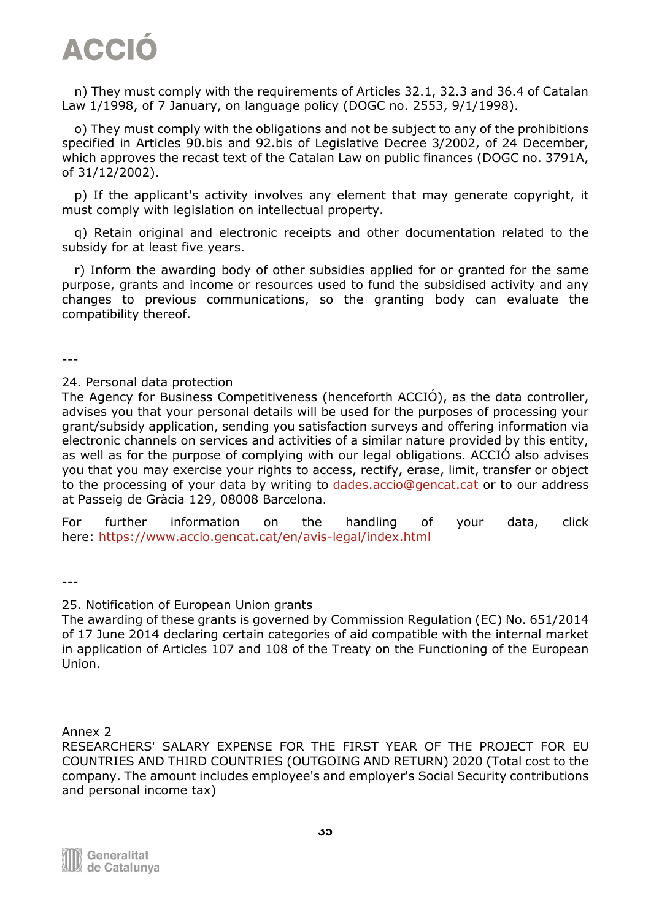n) They must comply with the requirements of Articles 32.1, 32.3 and 36.4 of Catalan Law 1/1998, of 7 January, on language policy (DOGC no. 2553, 9/1/1998).

 o) They must comply with the obligations and not be subject to any of the prohibitions specified in Articles 90.bis and 92.bis of Legislative Decree 3/2002, of 24 December, which approves the recast text of the Catalan Law on public finances (DOGC no. 3791A, of 31/12/2002).

 p) If the applicant's activity involves any element that may generate copyright, it must comply with legislation on intellectual property.

 q) Retain original and electronic receipts and other documentation related to the subsidy for at least five years.

 r) Inform the awarding body of other subsidies applied for or granted for the same purpose, grants and income or resources used to fund the subsidised activity and any changes to previous communications, so the granting body can evaluate the compatibility thereof.

---

#### 24. Personal data protection

The Agency for Business Competitiveness (henceforth ACCIÓ), as the data controller, advises you that your personal details will be used for the purposes of processing your grant/subsidy application, sending you satisfaction surveys and offering information via electronic channels on services and activities of a similar nature provided by this entity, as well as for the purpose of complying with our legal obligations. ACCIÓ also advises you that you may exercise your rights to access, rectify, erase, limit, transfer or object to the processing of your data by writing to [dades.accio@gencat.cat](mailto:dades.accio@gencat.cat) or to our address at Passeig de Gràcia 129, 08008 Barcelona.

For further information on the handling of your data, click here: [https://www.accio.gencat.cat/en/avis-legal/index.html](https://www.accio.gencat.cat/ca/avis-legal/)

---

#### 25. Notification of European Union grants

The awarding of these grants is governed by Commission Regulation (EC) No. 651/2014 of 17 June 2014 declaring certain categories of aid compatible with the internal market in application of Articles 107 and 108 of the Treaty on the Functioning of the European Union.

Annex 2

RESEARCHERS' SALARY EXPENSE FOR THE FIRST YEAR OF THE PROJECT FOR EU COUNTRIES AND THIRD COUNTRIES (OUTGOING AND RETURN) 2020 (Total cost to the company. The amount includes employee's and employer's Social Security contributions and personal income tax)

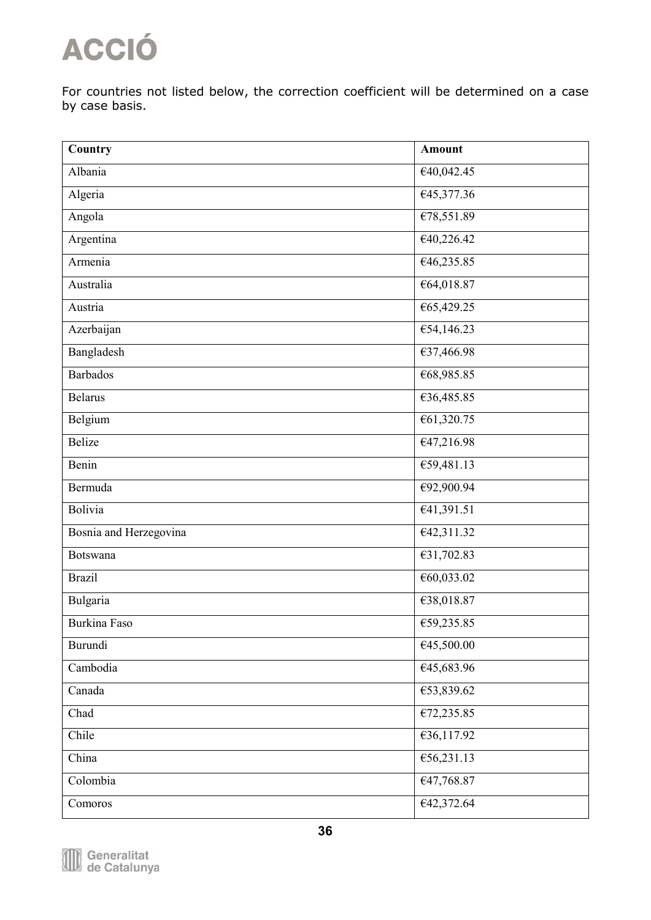For countries not listed below, the correction coefficient will be determined on a case by case basis.

| Country                | <b>Amount</b>                  |
|------------------------|--------------------------------|
| Albania                | €40,042.45                     |
| Algeria                | €45,377.36                     |
| Angola                 | €78,551.89                     |
| Argentina              | €40,226.42                     |
| Armenia                | €46,235.85                     |
| Australia              | €64,018.87                     |
| Austria                | €65,429.25                     |
| Azerbaijan             | $\overline{654,146.23}$        |
| Bangladesh             | €37,466.98                     |
| <b>Barbados</b>        | €68,985.85                     |
| <b>Belarus</b>         | €36,485.85                     |
| Belgium                | €61,320.75                     |
| <b>Belize</b>          | €47,216.98                     |
| Benin                  | €59,481.13                     |
| Bermuda                | €92,900.94                     |
| Bolivia                | E41,391.51                     |
| Bosnia and Herzegovina | $\overline{\text{£}42,311.32}$ |
| Botswana               | €31,702.83                     |
| <b>Brazil</b>          | €60,033.02                     |
| Bulgaria               | €38,018.87                     |
| <b>Burkina Faso</b>    | €59,235.85                     |
| Burundi                | €45,500.00                     |
| Cambodia               | €45,683.96                     |
| Canada                 | €53,839.62                     |
| Chad                   | £72,235.85                     |
| Chile                  | €36,117.92                     |
| China                  | €56,231.13                     |
| Colombia               | €47,768.87                     |
| Comoros                | €42,372.64                     |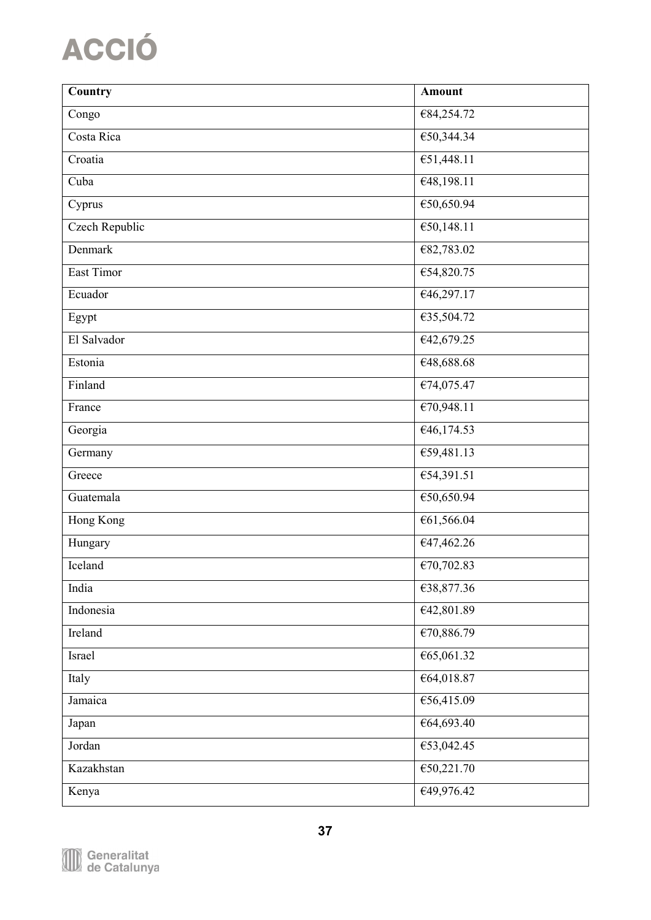| Country        | <b>Amount</b>                  |
|----------------|--------------------------------|
| Congo          | €84,254.72                     |
| Costa Rica     | €50,344.34                     |
| Croatia        | €51,448.11                     |
| Cuba           | €48,198.11                     |
| Cyprus         | €50,650.94                     |
| Czech Republic | €50,148.11                     |
| Denmark        | €82,783.02                     |
| East Timor     | €54,820.75                     |
| Ecuador        | €46,297.17                     |
| Egypt          | €35,504.72                     |
| El Salvador    | €42,679.25                     |
| Estonia        | €48,688.68                     |
| Finland        | €74,075.47                     |
| France         | E70,948.11                     |
| Georgia        | $\overline{\text{£}46,174.53}$ |
| Germany        | €59,481.13                     |
| Greece         | €54,391.51                     |
| Guatemala      | €50,650.94                     |
| Hong Kong      | €61,566.04                     |
| Hungary        | €47,462.26                     |
| Iceland        | €70,702.83                     |
| India          | €38,877.36                     |
| Indonesia      | €42,801.89                     |
| Ireland        | €70,886.79                     |
| Israel         | €65,061.32                     |
| Italy          | €64,018.87                     |
| Jamaica        | €56,415.09                     |
| Japan          | €64,693.40                     |
| Jordan         | €53,042.45                     |
| Kazakhstan     | €50,221.70                     |
| Kenya          | €49,976.42                     |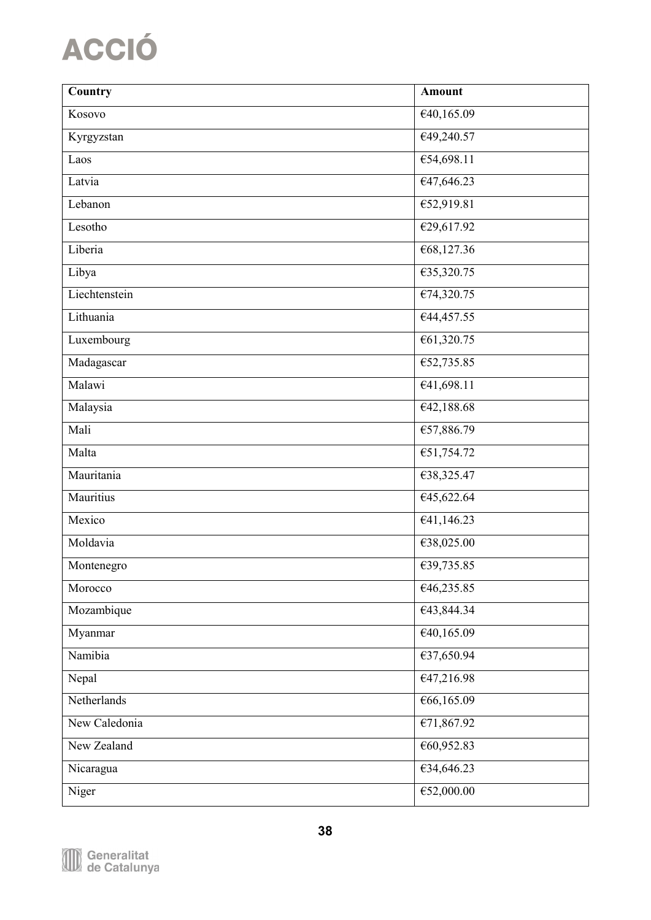| Country       | <b>Amount</b>                  |
|---------------|--------------------------------|
| Kosovo        | €40,165.09                     |
| Kyrgyzstan    | €49,240.57                     |
| Laos          | €54,698.11                     |
| Latvia        | €47,646.23                     |
| Lebanon       | €52,919.81                     |
| Lesotho       | €29,617.92                     |
| Liberia       | €68,127.36                     |
| Libya         | $\sqrt{635,320.75}$            |
| Liechtenstein | €74,320.75                     |
| Lithuania     | €44,457.55                     |
| Luxembourg    | €61,320.75                     |
| Madagascar    | €52,735.85                     |
| Malawi        | €41,698.11                     |
| Malaysia      | E42,188.68                     |
| Mali          | €57,886.79                     |
| Malta         | €51,754.72                     |
| Mauritania    | €38,325.47                     |
| Mauritius     | €45,622.64                     |
| Mexico        | £41,146.23                     |
| Moldavia      | €38,025.00                     |
| Montenegro    | €39,735.85                     |
| Morocco       | €46,235.85                     |
| Mozambique    | €43,844.34                     |
| Myanmar       | $\overline{\text{£}40,165.09}$ |
| Namibia       | €37,650.94                     |
| Nepal         | €47,216.98                     |
| Netherlands   | €66,165.09                     |
| New Caledonia | €71,867.92                     |
| New Zealand   | €60,952.83                     |
| Nicaragua     | €34,646.23                     |
| Niger         | €52,000.00                     |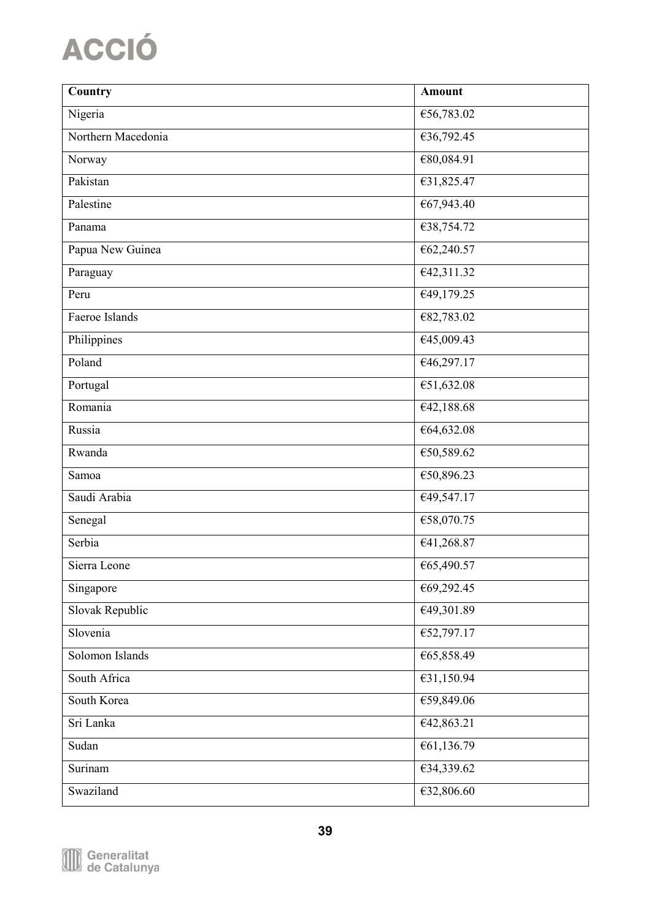| Country            | <b>Amount</b>      |
|--------------------|--------------------|
| Nigeria            | €56,783.02         |
| Northern Macedonia | €36,792.45         |
| Norway             | €80,084.91         |
| Pakistan           | €31,825.47         |
| Palestine          | €67,943.40         |
| Panama             | €38,754.72         |
| Papua New Guinea   | €62,240.57         |
| Paraguay           | €42,311.32         |
| Peru               | €49,179.25         |
| Faeroe Islands     | €82,783.02         |
| Philippines        | €45,009.43         |
| Poland             | €46,297.17         |
| Portugal           | €51,632.08         |
| Romania            | $\sqrt{42,188.68}$ |
| Russia             | €64,632.08         |
| Rwanda             | €50,589.62         |
| Samoa              | €50,896.23         |
| Saudi Arabia       | €49,547.17         |
| Senegal            | €58,070.75         |
| Serbia             | €41,268.87         |
| Sierra Leone       | €65,490.57         |
| Singapore          | €69,292.45         |
| Slovak Republic    | €49,301.89         |
| Slovenia           | €52,797.17         |
| Solomon Islands    | €65,858.49         |
| South Africa       | €31,150.94         |
| South Korea        | €59,849.06         |
| Sri Lanka          | €42,863.21         |
| Sudan              | €61,136.79         |
| Surinam            | €34,339.62         |
| Swaziland          | €32,806.60         |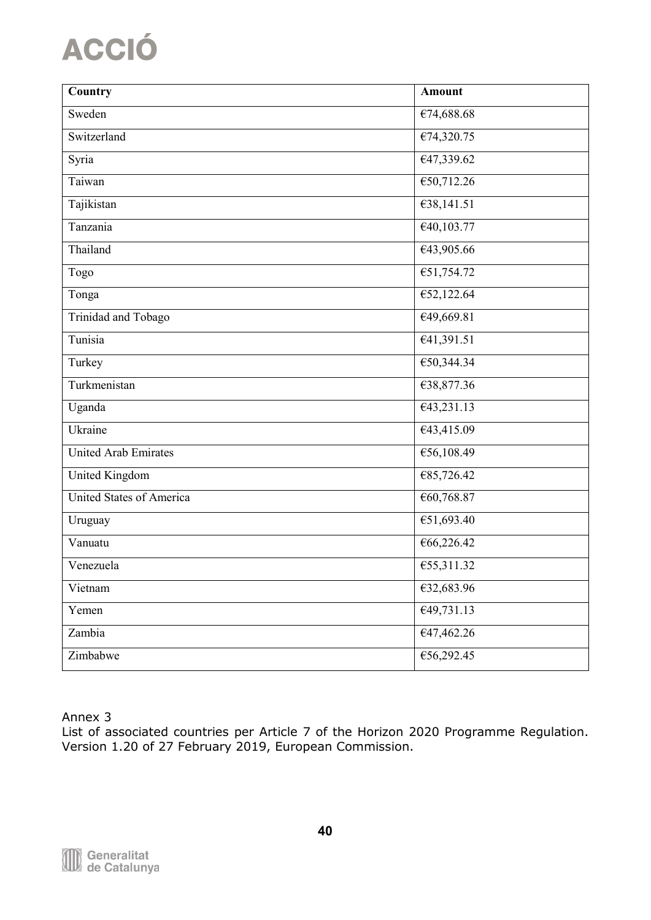| Country                     | <b>Amount</b>                   |
|-----------------------------|---------------------------------|
| Sweden                      | $\sqrt{674,688.68}$             |
| Switzerland                 | €74,320.75                      |
| Syria                       | €47,339.62                      |
| Taiwan                      | €50,712.26                      |
| Tajikistan                  | $\overline{\text{£}38,141.51}$  |
| Tanzania                    | $\overline{\epsilon 40,103.77}$ |
| Thailand                    | €43,905.66                      |
| Togo                        | €51,754.72                      |
| Tonga                       | €52,122.64                      |
| Trinidad and Tobago         | €49,669.81                      |
| Tunisia                     | €41,391.51                      |
| Turkey                      | €50,344.34                      |
| Turkmenistan                | €38,877.36                      |
| Uganda                      | E43,231.13                      |
| Ukraine                     | €43,415.09                      |
| <b>United Arab Emirates</b> | €56,108.49                      |
| United Kingdom              | €85,726.42                      |
| United States of America    | €60,768.87                      |
| Uruguay                     | €51,693.40                      |
| Vanuatu                     | €66,226.42                      |
| Venezuela                   | €55,311.32                      |
| Vietnam                     | €32,683.96                      |
| Yemen                       | $\overline{\text{£}49,731.13}$  |
| Zambia                      | €47,462.26                      |
| Zimbabwe                    | €56,292.45                      |

Annex 3

List of associated countries per Article 7 of the Horizon 2020 Programme Regulation. Version 1.20 of 27 February 2019, European Commission.